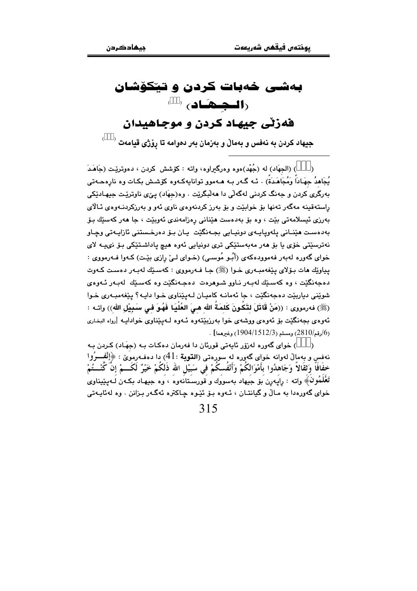# بهشی خهبات کردن و تیکوشان  $\left( \begin{array}{c} \bullet \end{array} \right)$ فهزٽي جيهاد کردن و موجاهيدان

 $^{-\lambda}$  جيهاد كردن به نهفس و بهمالٌ و بهزمان بهر دهوامه تا رِوْژي قيامهت

) (الجهَاد) له (جُهْد)هوه وهرگعراوه، واته : كۆشش كردن ، دهوتريّيت (جَاهَـدَ يُجَاهدُ جهَـادَاً وَمُجَاهَـدَةً) . بُـه گـهر بـه هـهموو توانايهكـهوه كۆشـش بكـات وه نارهڪهتي بەرگرى كردن و جەنگ كردنى لەگەلى دا مەلّبگريت . وە(جھَاد) يـيْ، ناوتريّـت جيھـاديٚكى راستهقینه مهگهر تهنها بۆ خوابێت و بۆ بەرز کردنهوهی ناوی ئهو و بەرزکردنـهوهی ئـالای بەرزى ئېسلامەتى بێت ، وە بۆ بەدەست ھێنانى رەزامەندى ئەوبێت ، جا ھەر كەسێك بۆ بەدەست ھێنانی پلەوياپەي دونپايی بجەنگێت پان بۆ دەرخىستنى ئازاپەتى وچاو .<br>نەترسىيى خۆي يا بۆ ھەر مەبەستىكى ترى دونيايى ئەوە ھيچ ياداشىتىكى بۆ نىيـە لاي خوای گەورە لەبەر فەموودەكەی (أَبُـو مُوسـى) (خـوای لـیْ رازی بیّـت) كـەوا فـەرمووی : يپاوێك هات بـۆلاي يێغەمبـەرى خـوا (ﷺ) جـا فـەرمووي : كەسـێك لەبـەر دەسـت كـەوت دهجەنگێت ، وه كەسىێك لەبـەر نـاوو شـوهرەت دەجـەنگێت وه كەسىێك لەبـەر ئـەوەي شوينم ، ديارييٽ دهجهنگيٽ ، جا ئهمانيه کاميان ليپيٽاوي خوا داييه؟ پيغهمبيوي خوا (ﷺ) فەرمورى : ((مَنْ قَاتَلَ لتَكُونَ كَلمَةُ الله هيَ العُلْيَا فَهُوَ فـى سَبِيْل الله)) واتـه : ئەوەي بجەنگێت بۆ ئەوەي ووشەي خوا بەرزېێتەوە ئـەوە لـەپێناوي خوادايـە [رواە البخاري . (16رقم/2810) ومسلم (1512/3/1512) وغيرهما] $(1904/1512/3)$ 

) خوای گەورە لەرۆر ئايەتى قورئان دا فەرمان دەكات بـه (جهَاد) كـردن بـه نهفس و بِهمالٌ لهوانه خواى گەورە له سورەتى (ا**لتوبة** :41) دا دەڧەرموێ : ﴿إِنْفَــرُوا<br>خِفَافَا وَثقَالاً وَجَاهدُوا بأَمْوَالكُمْ وَأَنْفُسِكُمْ في سَبيْلِ الله ذَلِكُمْ خَيْرٌ لَكَـــمْ إِنَّ كُنْـــتُمْ تَعْلَمُونَ﴾ واته : رايهرن بَوْ جيهاد بهسووك و قورسـتانهوه ، وه جيهـاد بكـهن لـهيێيناوى خوای گەورەدا بە مـالْ و گیانتـان ، ئــەوە بـۆ ئێـوە چـاكترە ئەگـەر بـزانن . وە لەئايـەتى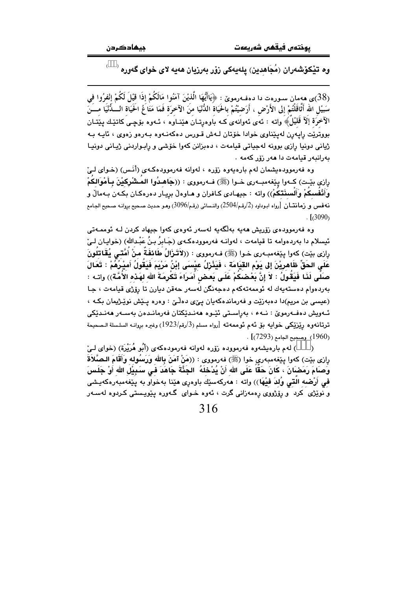#### وه تێِکۆشەران (مُجَاهدین) یلەیەکی زۆر بەرزیان ھەیە لای خوای گەورە <sup>(</sup>

(38)ي هەمان سـورەت دا دەفـەرمويٚ : ﴿يَاأَيُّهَا الَّذِيْنَ آمَنُوا مَالَكُمْ إِذَا قَيْلَ لَكُمْ إِنْفرُوا فِي سَبيْلَ الله أَتَّاقَلْتُمْ إلى الأَرْض ، أَرَضيْتُمْ بالحَيَاةُ الدُّنْيَا منَ الآخرَة فَمَا مَتَاعُ الحَيَاة الـــدُّنْيَا مــــَنَ الآخرَة إلآ قُلْيُلُ﴾ واته : ئەي ئەوانەي كـه باوەرتـان مىننـاوە ، ئـەوە بۆچـى كاتنيـك پـنيتـان بووتريّت راپەرن لەپێناوى خوادا خۆتان لـﻪش قـورس دەكەنـﻪوە بـﻪرەو زەوى ، ئايـﻪ بـﻪ ژیانی دونیا رازی بوونه لهجیاتی قیامهت ، دهبزانن کهوا خوّشی و رابـواردنی ژیـانی دونیـا بەرانبەر قيامەت دا ھەر زۆر كەمە .

وه فهرموودهیشمان لهم بارهیهوه زۆره ، لهوانه فهرموودهکهی (أَنَـس) (خـوای لـیِّ رازي بيّـت) كــهوا ييّغهمبــهري خــوا (ﷺ) فــهرمووي : ((جَاهـدُوا المــثْنْرِكيْنَ بِـأَمْوالكمْ وَأَنْفُسكُمْ وَأَلْسِنَتكُمْ)) واته : جيهـادي كـافران و هـاوهلْ بريـار دهرهكـان بكـهن بـهمالْ و نه فس و زمانتان  $[$ رواه ابـوداود (2/رقـم/2504) والنـسائي (رقـم/3096) وهـو حـديث صـحيح بروانـه صـحيح الجـامع  $\frac{1}{2}$   $(3090)$ 

وه فەرموودەي زۆريش ھەيە بەلگەيە لەسەر ئەوەي كەوا جيھاد كردن لـە ئوممـەتى ئيسلام دا بەردەوامە تا قيامەت ، لەوانــه فەرموودەكــەى (جَـابرُ بـنُ عَبْـدالله) (خوايــان لــىٰ رازي بيّت) كەوا يێغەمبـەرى خـوا (ﷺ) فـەرمووى : ((لاَتَـزَالُ طَائفَةٌ منْ أُمَّتـى يُقَاتلُونَ عَلَى الحَقِّ ظَاهرِيْنَ إلى يَوْم القيَامَة ، فَيَذْرَلُ عيْسَى إِبْنُ مَرْيَمَ فَيَقُولُ أَميْـرُمُّمْ : تَعَالَ صَلَّى لَذَا فَيَقُولُ : لاَ إِنَّ بَعْضتُمْ عَلَى بَعض أَمَرَاءَ تَكْرِمَةَ الله لهَذه الأُمَّة)) واتـه : بەردەوام دەستەيەك لە ئوممەتەكەم دەجەنگن لەسەر حەقن ديارن تا رۆژى قيامەت ، جا (عیسی بن مریم)دا دهبهزیت و فهرماندهکهیان ییٌی دهلُیٌ : وهره یـیش نوییژیمان بکـه ، ئـەويش دەڧـەرموێ : نــەء ، بەراسـتى ئێـوە ھەنـدێكتان ڧەرمانـدەن بەسـەر ھەنـدێكى ترتانهوه ريْزيْكي خوايه بوْ ئهم ئوممهته [رواه مسلم (3/رقم/1923) وغيره بروانـه السلـسلة الـصحيحة .  $[$ (1960) وصحيح الحامع (7293).

) لهم بارهيشهوه فهرمووده زۆره لهوانه فهرمودهكهى (أَبُو هُرَيْرَة) (خواى لـئ رِازى بيّت) كهوا پِيّفهمبهريِ خوا (ﷺ) فهرمووى : ((مَنْ آمَنَ بِالله وَرَسُوله وَأَقَامَ الـصَّلاَةَ وَصَامَ رَمَضَانَ ، كَانَ حَقّاً عَلَى الله أَنْ يُدْخَلَهُ ۚ الجَذَّةَ جَاهَدَ في سَبِيْلِ الله أَوْ جَلَسَ في أَرْضه التي وُلدَ فَيْهَا)) واته : هەركەسێك باوەرِي هێنا بەخواو بە پێغەمبەرەكەيشى و نوێژی کرد و رێژووی رهمهزانی گرت ، ئەوه خـوای گـهوره پێویـستی کـردوه لهسـهر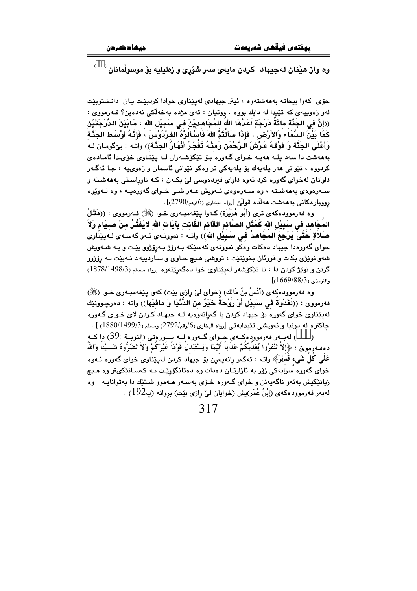وه واز هێنان لهجیهاد کردن مایهی سهر شۆړی و زەلیلیه بۆ موسوڵمانان <sup>(</sup>

خۆی کەوا بیخاتە بەھەشتەوە ، ئیتر جیهادی لەیێناوی خوادا کردبێت یان دانشتوبێت لهو زەوپيەي كە تێيدا لە دايك بووە . ووتيان : ئەي مژدە بەخەلكى نەدەين؟ فـەرمووى : ((إِنَّ فِي الجَنَّةِ مائَةَ دَرَجَةٍ أَعَدَّهَا اللهَ لِلمُجَاهِدِيْنَ فِي سَبِيْلِ اللهِ ، مَابَيْنَ الدَّرَجَتَيْنِ كَمَا بَيْنَ السَّمَاءَ وَالأَرْض ، فَإِذَا سَأَلَتُمْ اللهَ فَاسْأَلُوْهُ الفَرْدَوْسَ ، فَإِذَّهُ أَوْسَطَ الجَذَّة وَأَعْلَى الجَنَّةَ وَ فَوْقَهُ عَرْشُ الرَّحْمَنِ وَمِنْهُ تَفْجُرُ أَنْهَارُ الجَنَّة)) واتـه : بيٚگومـان لـه بهههشت دا سهد يله ههيه خواي گهوره بو تيكوشهران له ييناوي خوّىدا ئامادهي کردووه ، نێوانی ههر پلهيهك بۆ پلهيەكى تر وهكو نێوانی ئاسمان و زەوىيە ، جـا ئەگـەر داواتان لهخوای گەورە کرد ئەوە داوای فیردەوسی لیّ بکـهن ، کـه ناوراسـتی بەھەشـتە و سـهردودی بهههشـته ، وه سـهردودی ئـهویش عـهر شـی خـوای گهوردیـه ، وه لـهویود رووبارهكاني بهههشت ههلله قوليّ [رواه البخاري (6/رقم/2790)].

وه فهرموودهکهی تری (أَبُو هُرَيْرَة) کـهوا بِيْغهمبـهری خـوا (ﷺ) فـهرمووی : ((هَقُلُ المُجَاهِدِ في سَبِيْلِ اللهِ كَمَثَلِ الصَّائِمِ القَّائِمِ القَّانِتِ بِآيَاتِ اللهِ لايَفْتُرُ مِنْ صييَام وَلاَ صَلاَةٍ حَتَّىَ يَرْجِعَ المُجَاهدُ فـى سَبِيْلِ اللهِ)) واتـه : نموونـهى ئـهو كهسـهى لـهيێنَاوى خوای گهورهدا جیهاد دهکات وهکو نموونهی کهسێکه بـهرۆژ بـهرۆژوو بێت و بـه شـهویش شهو نوێژی بکات و قورئان بخوێنێت ، تووشی هـیچ خـاوی و سـاردییهك نـهبێت لـه رۆژوو گرتن و نوێژ کردن دا ، تا تێکۆشەر لەپێناوى خوا دەگەرێتەوە [رواه مسلم (1878/1498/3)  $\cdot$  [(1669/88/3)]

وه فهرموودهكهي (أَنْسُ بنُ مَالك) (خواي ليّ رازي بيّت) كهوا يـيّغهمبـهري خـوا (ﷺ) فهرموري : ((لَغَدْوَةٌ في سَبِيْلِ أَوْ رَوْحَةٌ خَيْرٌ منَ الدُّنْيَا وَ مَافَيْهَا)) واته : دەرچـوونێك لهیپٌناوی خوای گهوره بۆ جیهاد کردن یا گهرانهوهیه لـه جیهـاد کـردن لای خـوای گـهوره جاكتره له دونيا و ئەويشىي تېيدايەتىي [رواه البخارى (6/رقم/2792) ومسلم (1880/1499/3) ] .

) لهېبەر فەرموودەكــەي خــواي گــەورە لــە ســورەتى (التوبــة :39) دا كــە  $\lambda$ دهف رمويٌ : ﴿إِلاَّ تَنْفُرُوا يُعَذِّبُكُمْ عَذَابَاً أَلَيْمَا وَيَسْتَبْدَلَ قَوْمَاً غَيْرَكُمْ وَلا تَضُرُّوهُ شَـــيْئَاً وَاللَّه عَلٰی کل شَیء قَدیْرٌ ﴾ واته : ئەگەر رانەپەرن بۆ جیهاد کردن لەپێناوی خوای گەورە ئـﻪوە خوای گەورە سزايەكى زۆر بە ئازارتـان دەدات وە دەتانگۆرێـت بـە كەسـانێكىتر وە ھـيچ زیانێکیش بهئهو ناگهیهنن و خوای گـهوره خـۆی بهسـهر هـهموو شـتێك دا بهتوانایـه . وه له بهر فهرموودهکه ی (إِبْنُ عُمَر)يش (خوايان ليّ رِازي بيّت) بروانه (پِ192) .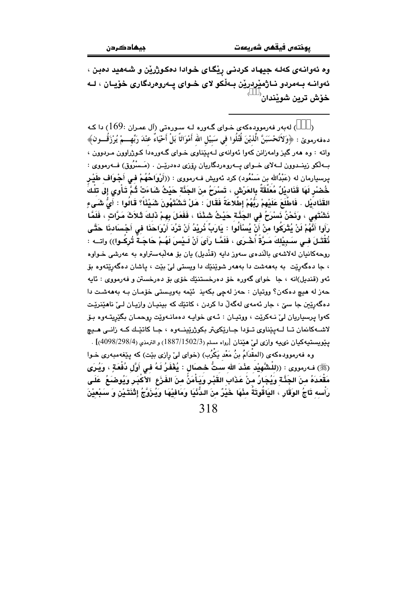وه ئەوانـەى كەلـە جيهـاد كردنـى رێگـاى خـوادا دەكـوژرێن و شـەھيد دەبـن ، ئەوانــه بــهمردو نــاژمێردرێن بــەڵکو لای خــوای پــەروەردگاری خۆپــان ، لــه خۆش ترین شوٽندان<sup>(</sup>

له به ر فه رمووده که ی خـوای گـهوره لـه سـورهتی (آل عمـران  $169$ ) دا کـه  $\,$  $\lambda$ دهفهرمويِّ : ﴿وَلاَتَحْسَبَنَّ الَّذيْنَ قُتُلُوا في سَبيْلِ الله أَمْوَاتَاً بَلْ أَحْيَاءٌ عَنْدَ رَبِّهِـــمْ يُرْزَقُـــون﴾ واته : وه ههر گیز وامهزانن کهوا ئهوانهی لـهپێناوی خـوای گـهورهدا کـوژراوون مـردوون ، بـهلکو زینــدوون لــهلای خــوای پــهروهردگاریان رۆزی دهدرپیـن . (مَـسْرُوق) فــهرمووی : پرسپارمان له (عَبْدُالله بن مَسْعُود) کرد ئەويش فــهرمووی : ((أَرْوَاحُهُمْ فـى أَجْـوَاف طَيْـر خُصْر لَهَا قَذَاديْلٌ مُعَلَّقَةٌ بِالعَرْشِ ، تَسْرَحُ منَ الجَذَّة حَيْثُ شَاءَتْ ثُمَّ تَأْوى إلى تلْكُ القَذَاديَّل . فَاطَّلَعَ عَلَيْهِمْ رَبُّهُمْ إِطِّلَاعَةً فَقَالَ : هَلْ تَشْتَهُونَ شَيْئًا؟ قَالُوا : أَيُّ شَـَىءٍ نَشْتَهِي ، وَنَحْنُ نَسْرَحُ في الجَذَّة حَيْثُ شَئْنَا ، فَفَعَلَ بِهِمْ ذَلِكَ ثَلاَثَ مَرَّاتٍ ، فَلَمَّا رَأَوا أَنَّهُمْ لَنْ يُتْرَكُوا منْ أَنْ يُسْأَلُوا : يَارَبِّ نُرِيْدُ أَنْ تَرُدَ أَرْوَاحَذَا في أَجْسَادنَا حَتَّى نُقْتَـلَ فـي سَـبِيْلِكَ مَـرَّةَ أَخْـرَى ، فَلَمَّـا رَأَىَ أَنْ لَـيْسَ لَهُـمْ حَاجَـةً تُركُـوا)) واتــه : روحهکانیان لهلاشهی بالّندهی سهوز دایه (قنْدیل) یان بوّ ههلّبهستراوه به عهرشی خـواوه ، جا دهگەرێت به بەھەشت دا بەھەر شوێنێك دا ويستى لىٰ بێت ، ياشان دەگەرێتەوە بۆ ئەو (قنديل)انە ، جا خواي گەورە خۆ دەرخستنێك خۆي بۆ دەرخستن و فەرمووى : ئايە حەز لە ھېچ دەكەن؟ ووتيان : حەز لەچى بكەيذ ئێمە بەويستى خۆمان بـه بەھەشت دا دهگەرێن جا سےٰ ، جار ئەمەي لەگەڵ دا كردن ، كاتێك كە بېنيـان وازيـان لـیٰ ناھێزێت کهوا پرسپاريان ليٰ نـهکريٽ ، ووتيـان : ئـهى خوايـه دهمانـهويٽ روحمـان بگيريتـهوه بـوّ لاشــه کانمان تــا لــهيێناوي تــۆدا جــارێکيټر بکوژرێينــهوه ، جـا کاتێـك کــه زانــي مــيچ ينويستيەكيان نىييە وازى لى ھێنان [رواه مسلم (1502/387/1) و الترمذى (4/998/298/4)] . وه فهرموودهکهی (المقْدَامُ بنُ مَعْد يَكْرُب) (خوای ليّ رازی بێت) که پێغهمبهری خـوا

(ﷺ) فـه رمووي : ((للْشَّهِيْدُ عِنْدَ الله سَتُّ حْصَال : يُغْفَرُ لَـهُ فـي أَوَّل دُفْعَةٍ ، وَيُرَى مَقْعَدَهُ منَ الجَذَّة وَيُجَارُ منْ عَذَابِ القَبْرِ وَيَأْمَنُ منَ الفَرَعِ ۖ الأكْبَرِ وَيُوضَبَعُ ۚ عَلَى رَأْسه تَاجُ الوَقَارِ ، اليَاقُوتَةُ مِنْهَا خَيْرٌ منَ الدُّنْيَا وَمَافِيْهَا وَيُرْوَّجُ إِتْنَتَيْنِ وَ سَبْعِيْنَ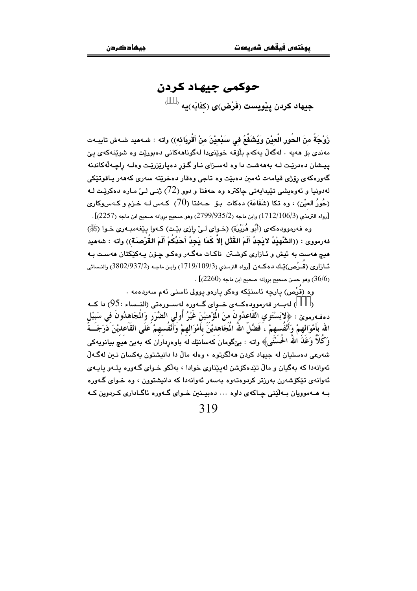## حوكمي جبهاد كردن

ِ<br>حيهاد كردن يٽويسٽ (فَرْض)ي (کَفَايَه)يه <sup>(</sup>

زَوْجَةً منَ الحُورِ الْعيْنِ وَيُشَفَّعُ في سَبْعيْنَ منْ أَقْرِيَائه)) واته : شـهميد شـهش تايبـهت مەندى بۆ ھەيە . لەگەڵ يەكەم بلۆقە خوێنىدا لەگوناھەكانى دەبورێت وە شوێنەكەي يێ ييشان دهدريت لـه بهههشت دا وه لهسـزاي نـاو گـۆر دهياريزرييت وهلـه راجـهڵهكاندنه گەورەكەي رۆژى قيامەت ئەمىن دەبێت وە تاجى وەقار دەخرێتە سەرى كەھەر ياقوتێكى لەدونيا و ئەوەيشى تێيدايەتى چاكترە وە حەفتا و دوو (72) ژنى لى مارە دەكريْت لـە (حُورُ العيْن) ، وه تكا (شَفَاعَة) دهكات بـۆ ھــهفتا (70) كـهس لـه خـزم و كـهسوكارى  $[12257]$ رواه الترمذي (1 $[112/106/3)$ ) وابن ماجه  $(2799/935/2)$  وهو صحيح بروانه صحيح ابن ماجه (2257)].

وه فهرموودهکهي (أَبُو هُرَيْرَة) (خواي ليِّ رازي بێت) کـهوا پێغهمبـهري خـوا (ﷺ) فهرمووى : ((الشَّهيْدُ لايَجِدُ أَلَمَ القَتْلِ إلاَّ كَمَا يَجِدُ أَحَدُكُمْ أَلَمَ القُرْصَنَة)) واته : شهميد ميچ هەست بە ئيش و ئـازارى كوشـتن ناكـات مەگـەر وەكـو چـۆن پـەكێكتان ھەسـت بـە ئــازاري (قَــرْص)يْــك دەكــەن [رواه الترمـذي (19/109/1933) وابـن ماجـه (2/937/2) والنــسائي .  $(36/6)$ وهو حسن صحيح بروانه صحيح ابن ماجه ( $(2260)$  .

وه (قرْص) يارچه ئاسنێکه وهکو يارهو يوولي ئاسني ئهم سهردهمه ٠

) لەبــەر فەرموودەكــەي خــواي گــەورە لەســورەتى (النــساء :95) دا كــە دهفەرموێ : ﴿لايَسْتَوي القَاعدُونَ منَ الْمَوْمنيْنَ غَيْرُ أُولى الضَّرَر وَالْمجَاهدُونَ في سَبيْل الله بأَهْوَالهمْ وَأَنْفُسهمْ ، فَضَّلَّ اللهُ الْمَجَاهديْنَ بأَهْوَالهمْ وَأَنْفُسهمْ عَلَى القَاعديْنَ دَرَجَــةً وَكُلاً وَعَلَمَ اللَّهُ الْحُسُنَى﴾ وإنه : بے گومان كەسانتك لَه ياوەرداران كە يەپن ھىيە بيانويەكى شەرعى دەستيان لە جېھاد كردن ھەلگرتو. ، وەلە مالْ دا دانپشتون بەكسان نـىن لەگـەلْ ئەوانەدا كە بەگيان و مالٌ تێدەكۆشن لەيێناوي خوادا ، بەلْكو خـواي گـەورە يلـەو ياپـەي ئەوانەي تېكۆشەرن بەرزتر كردوەتەوە بەسەر ئەوانەدا كە دانىشتوون ، وە خىواي گەورە بـه هــهموویان بـهانّینی چـاکهی داوه ... دهبیـنین خـوای گـهوره ئاگـاداری کـردوین کـه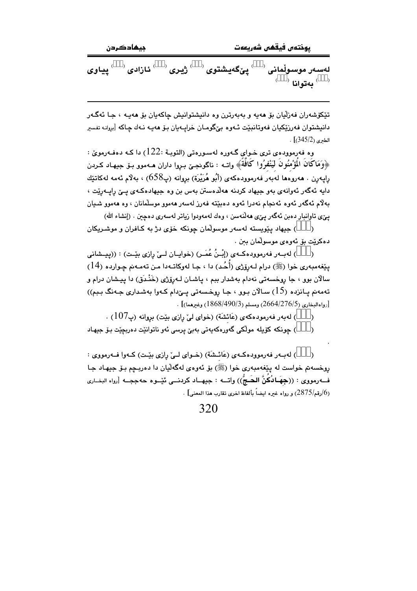جيھاد کردن

يوختەں فيقھى شەريعەت

لەسەر موسولْمانى  $\langle\quad \rangle$ يێگەيشتوى  $\langle\quad \rangle$ ژيرى  $\langle\quad \rangle$ ئازادى  $\langle\quad \rangle$ يياوى  $^{(+)}$  لەتوانا  $^{(-)}$ 

تێػۆشەران فەزلّيان بۆ ھەيە و بەبەرترن وە دانيشتوانيش چاكەيان بۆ ھەيـە ، جـا ئەگـەر دانيشتوان فەرزێکيان فەوتانبێت ئـەوە بێگومـان خراپـەيان بـۆ ھەپـە نـەك چـاكە [بروانـە تفسير  $. [345/2)$ الطرى

وه فەرموودەي ترى خـواي گـەورە لەسـورەتى (التوبـة :122) دا كـە دەفـەرمويّ : ﴿وَمَاكَانَ الْمُؤْمِنُونَ لَيَنْفِرُوا كَافَةً﴾ واتبه : ناگونجيّ بيروا داران هـ٥موو بـۆ جيهـاد كـردن رايـهـرن . هـهـروهها لـهـبـهو فـهـرموودهكـهـى (أَبُو هُرَيْرَة) بـروانـه (پ658) ، بـهلام ئـهمه لـهكاتێك دايه ئەگەر ئەوانەي بەو جيھاد كردنە ھەلدەستن بەس بن وە جيھادەكـەي يـێ رايـەرێت ، به∛م ئەگەر ئەوە ئەنجام نەدرا ئەوە دەبێتە فەرز لەسەر ھەمور موسلّمانان ، وە ھەمور شىيان يپِّي تاوانبار دەبن ئەگەر يېّ ھەلّنەسن ، وەك لەمەودوا زياتر لەسەرى دەچين . (إنشاء الله)

) جيهاد يێويسته لهسهر موسولّمان چونکه خوّى دژ به کـافران و موشـريکان  $\lambda$ دەكرێت بۆ ئەوەي موسولْمان بىن .

) لهبـهر فهرموودهكـهي (إِبْـنُ عُمَـرٍ) (خوابـان لــيّ رازي بِيّـت) : ((پيـشاني يٽِغەمبەرى خوا (ﷺ) درام لـﻪرۆژى (أَحُد) دا ، جـا لەوكاتـﻪدا مـن تەمـﻪنم چـواردە (14) سالان بوو ، جا روخسەتى نەدام بەشدار بېم ، پاشـان لـەرۆژى (خَنْـدَق) دا پـيـشان درام و تەمەنم يـانزدە (15) سـالآن بـوو ، جـا روخـسەتى يـێدام كـەوا بەشدارى جـەنگ بـبم)) . وإداللخاري (2/64/276/5) ومسلم (3/868/490/3) وغيرهما)] .

) له به رفه رموده که ی (عَائشَة) (خوای لیّ رازی بیّت) بروانه (پ $107$ ) .

) چونکه کۆپله مولکی گەورەکەپەتی بەبیؒ پرسی ئەو ناتوانێت دەربچێت بۆ جپهاد  $\lambda$ 

) لهبـهر فهرموودهكـهي (عَائـشَة) (خـواي لـيّ رازي بِيّـت) كـهوا فـهرمووي :  $\lambda$ روخسه تم خواست له پێغهمبهري خوا (ﷺ) بۆ ئەوەي لەگەلّيان دا دەربـچم بـۆ جيهـاد جـا ف+رمووي : ((جِهَـالأُكُنَّ الحَـجُّ)) واتـــه : جيهــاد كردنـــي ئيْــوه حهججــه [رواه البخــاري .<br>(6/رقم/2875) و رواه غيره ايضاً بألفاظ اخرى تقارب هذا المعنى] .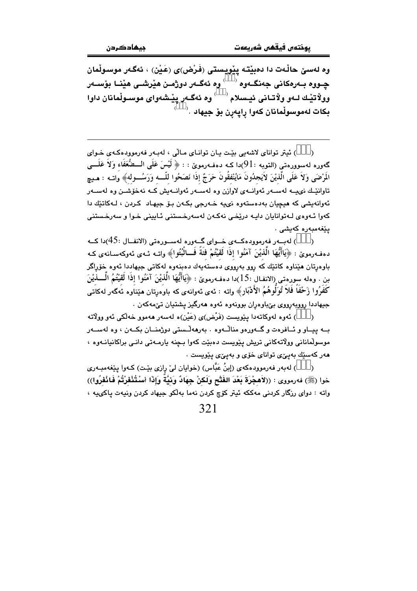وه لەسىٰ حالْـهت دا دەبيْتـه يێويـستى (فَرْض)ى (عَـيْن) ، ئەگـەر موسـولْمان چـووه بـهرهکانی جهنگـهوه <sup>( )</sup> وه ئهگـهر دوژمـن هێرشـی هێنـا بۆسـهر وولاً تيْـك لــهو ولاّتـاني ئيـسلام <sup>( \_\_)</sup> وه ئهگــهر ييْـشهواي موســولْمانان داوا بكات لەموسوڵمانان كەوا رايەرن بۆ جيھاد .<sup>‹</sup>

) ئيتر تواناي لاشەبى بِيّت يان تواناي مالّى ، لەبەر فەرموودەكەي خواي  $\lambda$ گەورە لەسوورەتى (التوبە :91)دا كـە دەڧـەرموێ : : ﴿ لَيْسَ عَلَى الـــضُّعَفَاء وَلاَ عَلَـــى المَرْضَى وَلاَ عَلَى الَّذيْنَ لاَيَجدُونَ مَايُنْفقُونَ حَرَجٌ إذَا نَصَحُوا للَّـــه وَرَسُـــوله﴾ واتــه : هـيچ .<br>تاوانێـك نىيــه لەســەر ئەوانــەى لاوازن وە لەســەر ئەوانــەيش كــە نەخۆشــن وە لەســەر ئەوانەيشى كە ھېچيان بەدەستەوە نىيە خەرجى بكەن بىق جېھاد كردن ، لـەكاتتِك دا کەوا ئـەوەي لـەتوانايان دايـە درێخى نەکـەن لەسەرخـستنى ئـايينى خـوا و سەرخـستنى يٽغەمبەرە كەيشى .

) لەببەر فەرموۋدەكبەي خىواي گىەورە لەسىورەتى (الانفىال :45)دا كىە  $\lambda$ دهفهرمويٌ : ﴿يَاأَيُّهَا الَّذِيْنَ آمَنُوا إِذَا لَقَيْتُمْ فَنَةً فَــاثْبُتُوا﴾ واتـه ئـهى ئهوكهسانهى كـه .<br>باوهرتان هێناوه کاتێك که روو بهرووی دهستهٔیهك دهبنهوه لهکاتی جیهاددا ئهوه خۆراگر بن . ودله سوردتي (الانفـال :15)دا ددفـهرمويٌ : ﴿يَاأَيُّهَا الَّذِيْنَ آمَنُوا إِذَا لَقَيْتُمُ الْــــذيْنَ كفرُوا زَحْفًا فلا تُوَلُّوهُمُ الأَدْبَارِ﴾ واته : ئەي ئەوانەي كە باوەرتان ھێناوە ئەگەر لەكاتى جيهاددا روويهرووي پێباوهران پوونهوه ئهوه ههرگيز پشتيان تێمهکهن .

) ئەوە لەوكاتەدا يێويست (فَرْض)ى (عَنْن)ە لەسەر ھەموو خەلْكى ئەو وولَاتە بــه بيــاو و ئــافرهت و گــهورهو منالـْـهوه ، بهرههلـْـستى دوژمنــان بكــهن ، وه لهســهر موسولمانانی وولاتهکانی تریش بنویست دہیبت کهوا بہنه بارمیهتی دانی براکانیانیهو ، .<br>هەر كەسى<u>ئ</u>ك بەيى<sub>ڭ</sub>ى تواناي خۆي و بەيى*نى* يێويست

) لهبهر فهرموودهكهي (إبنُ عَبَّاس) (خوايان ليّ رازي بيّت) كـهوا ييّغهمبـهري  $\lambda$ خوا (ﷺ) فەرمووى : ((لاَهجْرَةَ بَعْدَ الفَتْحِ وَلَكنْ جِهَادٌ وَنَبِيَّةٌ وَإِذَا أَسْتُتُفْرُتُمْ فَانْفرُوا)) واته : دواي رزگار كردني مەككە ئيتر كۆچ كردن نەما بەلكو جيهاد كردن ونيەت ياكىيە ،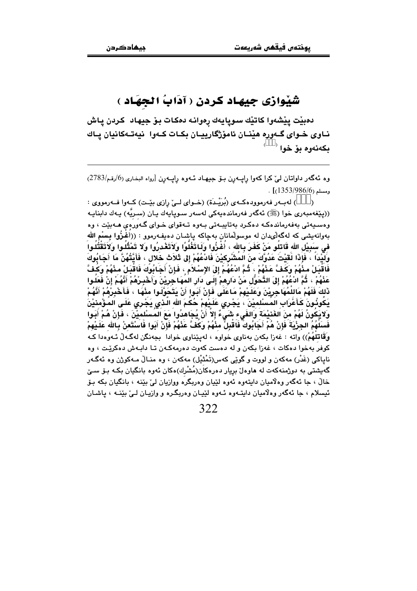## شَيْوازي جِيهاد كردن ( آدَابُ الجهَاد )

دەبێت يێشەوا كاتێك سوپايەك رەوانـﻪ دەكـات بـۆ جيهـاد كـردن پـاش نــاوي خــواي گــهوره هێنــان ئامۆژگارييــان بكــات كــهوا نيهتــهكانيان يــاك  $^{+}$ بکەنەوە بۆ خوا

وه ئهگەر داواتان ليّ كرا كەوا راپبەرن بىق جيهاد ئىەوە راپبەرن [رواه البخارى (6/رقم/2783)  $.$  [(1353/986/6)]

) لهبــهر فهرموودهكــهي (بُرَيْــدَة) (خــواي لــيِّ رازي بيِّــت) كــهوا فــهرمووي :  $\lambda$ ((يێغەمبەرى خوا (ﷺ) ئەگەر فەرماندەبەكى لەسەر سىويابەك يـان (سىرپُّە) يـەك دابنايـە وهسیهتی بهفهرماندهکه دهکرد بهتایبهتی بهوه تـهقوای خـوای گـهورهی هـهبیّت ، وه بەوانەيشى كە لەگەلىمدان لە موسولمانان بەچاكە ياشـان دەيفـەرموو : ((أَغَرُوا بِسْمِ الله في سَبِيْلِ الله قَاتِلُو مَنْ كَفَرَ بِالله ، أَعْرُوا وَلَاتَغْلُوا وَلَاتَغْدِرُوا وَلا تَمْثُلُوا وَلاَتَقْتُلُوا وَلَيْدَاً ، فَإِذَا لَقَيْتَ عَدُوَّكَ منَ المُشْرِكيْنَ فَادْعُهُمْ إِلى ثَلاَث خُلال ، فَأَيَّتُهُنَّ مَا أَجَابُوكَ فَاقْبَـِلْ مِنْهُمْ وَكَفَّ عَنْهُمْ ، ثُمَّ ادْعُهُمْ إِلَى الإِسْلاَمِ ، فَإِنْ أَجَابُوكَ فَاقْبَـلْ مِنْهُمْ وَكَفَّ عَذْهُمْ ، ثُمَّ ادْعُهُمْ إِلَى التَّحَوَّلِ مَنْ دَارِهِمْ إِلَـى دَارِ المهَـاجِرِيْنَ وَأَخْسِرْهُمْ أَنَّهُمْ إِنْ فَعَلـوا ذَلكَ فَلَهُمْ مَاللمُهَاجِرِيْنَ وَعَلَيْهِمْ مَاعَلَى فَإِنْ أَبَوا أَنْ يَتَحَوَّلُوا مِنْهَا ، فَأَخْبِرْهُمْ أَنَّهُمْ يَكُونُونَ كَأَعْرَابِ المَسْلميْنَ ، يَجْرِي عَلَيْهِمْ حُكَمَ الله الّذي يَجْرِي عَلَى المَؤْمنيْنَ وَلايَكونُ لَهُمْ منَ الغَنيْمَة وَالفَىء شَىءٌ إِلا أَنْ يُجَاهدُوا مَعَ المسْلميْنَ ، فَإِنْ هُمْ أَبَوا فَسَلَهُمُ الجِزْيَةُ فَإِنْ هُمْ أَجَابُوكَ فَاقْبِلْ مِنْهُمْ وَكَفَّ عَنْهُمْ فَإِنْ أَبُوا فَاسْتَعنْ بالله عَلَيْهِمْ وَقَاتِلْهُمْ)) واته : غەزا بكەن بەناوي خواوە ، لەيێناوي خوادا بجەنگن لەگەلْ ئـەوەدا كـە کوفر بهخوا دمکات ، غهزا بکهن و له دمست کهوت دمرمهکـهن تـا دابـهش دمکریّـت ، وه ناپاکي (غَدْر) مەکەن و لووت و گوێې کەس(تَمْثَیْل) مەکەن ، وە منـالٌ مـەکوژن وە ئەگـەر گەيشتى بە دوژمنەكەت لە ھاوەلْ بريار دەرەكان(مُشْرك)ەكان ئەوە بانگيان بكە بىۆ سىيْ خالْ ، جا ئەگەر وەلاميان دايتەوە ئەوە لێيان وەربگرە ووازيان ليْ بێنە ، بانگيان بكە بىۆ ئيسلام ، جا ئەگەر وەلاميان دايتـەوە ئـەوە لێيـان وەربگـرە و وازيـان لـيٰ بێنــه ، ياشـان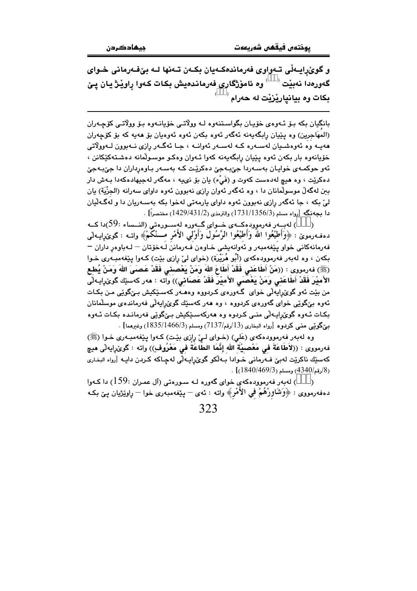و گوێرایـهڵی تـهواوی فهرماندهکـهیان بکـهن تـهنها لـه بێفـهرمانی خـوای گەورەدا نەبێت <sup>‹ ، ›</sup> وە ئامۆژگارى فەرماندەيش بكات كەوا راوێژ يان پێ بکات وہ بیانیار<u>ٽ</u>زٽت له حەرام <sup>(</sup>

بانگيان بکه بـۆ ئـهوهى خۆيـان بگواسـتنهوه لـه وولاتـى خۆيانـهوه بـۆ وولاتـى کۆچـهران (المهَاجرين) وه پێيان رابگەپەنە ئەگەر ئەوە بكەن ئەوە ئەوەپان بۆ ھەپە كە بۆ كۆچەران هەيــه وه ئەوەشــيان لەســەرە كــه لەســەر ئەوانــه ، جـا ئەگــەر رازى نــەبوون لــەوولاتى خۆيانەوە بار بكەن ئەوە يێيان رابگەيەنە كەوا ئـەوان وەكـو موسـولْمانە دەشـتەكێكانن ، ئەر حوکمەی خوايـان بەسـەردا جێبـەجێ دەکرێـت کـه بەسـەر بـاوەرداران دا جێبـەجێ دهکرێِت ، وه هیچ لهدهست کهوت و (فَیٌّء) یان بۆ نىپه ، مەگەر لەجپهادەکەدا بـﻪش دار ببن لهگهلٌ موسولٌمانان دا ، وه ئهگهر ئهوان رِازِي نهبوون ئهوه داواي سهرانه (الجزْيَة) يان ليّ بکه ، جا ئهگەر رازي نەبوون ئەوە داواي يارمەتى لەخوا بکە بەسـەريان دا و لەگـەلّيان دا بِجَهِنگه [رواه مسلم (1731/1356/3) والترمذي (1429/431/2) مختصراً] .

) لەببەر فەرموردەكــەي خــواي گـبەررە لەســورەتى (النــساء :59)دا كــە  $\lambda$ دهفهرمويِّ : ﴿وَأَطِيْعُوا اللَّهُ وَأَطِيْعُوا الرَّسُولُ وَأَوْلَى الأَمْرِ مَــنْكُمْ﴾ واتــه : گوێرايـهاێي فهرمانه كاني خواو يێغهمبهر و ئەوانەيشى خـاوەن فـهرمانن لـهخۆتان – لـهباوەر داران – بکهن ، وه لهبهر فهرموودهکهی (أَبُو هُرَيْرَة) (خوای ليّ رازی بێت) کـهوا پێغهمبـهری خـوا (ﷺ) فەرمورى : ((مَنْ أَطَاعَنى فَقَدْ أَطَاعَ اللهُ وَمَنْ يَعْصننى فَقَدْ عَصَبَىَ اللهُ وَمَنْ يُطع الأَميْرَ فَقَدْ أَطَاعَني وَمَنْ يَعْصَى الأَميْرَ فَقَدْ عَصَاني)) واته : مەر كەسێك گوێرايـەلْي من بێت ئەو گوێراپەڵی خوای گـەورەی كـردووە وەھـەر كەسـێكيش بـێگوێی مـن بكـات ئەوە بێگوێی خوای گەورەی کردووە ، وە ھەر كەسێك گوێرايەڵی فەرماندەی موسلْمانان بکات ئـهوه گوێرايـهاٽي منـي کـردوه وه ههرکهسـێکيش بـێگوێي فهرمانـده بکـات ئـهوه بِيْكُونِي منى كردوه [رواه البخارى (13/رقم/7137) ومسلم (1835/1466/3) وغيرهما] .

وه لهبهر فهرموودهکهي (عَلي) (خـواي لـيٌ رازي بيّـت) کـهوا پيّغهمبـهري خـوا (ﷺ) فهرمووى : ((لأُطَاعَةُ في مَعْصييَّة الله إنَّمَا الطاعَة في مَعْرُوفٍ)) واته : گوێ(اِيهاٽي هيڇ كەسپّك ناكريّت لەبىّ فەرمانى خىوادا بەلكو گوێراپەلى لەچاكە كىردن داپە [رواه البخارى  $(1840/469/3)$ رقم) $(4340/469/3)$  .

) لەبەر فەرموۋدەكەي خواي گەۋرە لـە سـورەتى (آل عمـران :159) دا كـەو!  $\lambda$ دەفەرمووى : ﴿وَشَاوْرُهُمْ فَمِي الْأَمْرِ﴾ واتـه : ئـهـى – پـێغەمبـەرى خـوا – راوێژيان پـێ بـکـه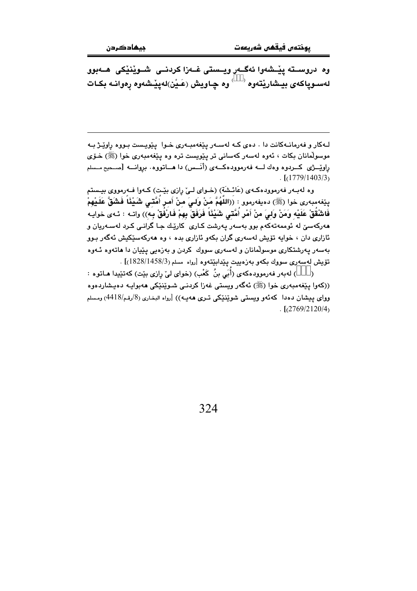وه دروســته ييْــشەوا ئەگــەر ويــستى غــەزا كردنـــى شــويْنيْكى هــەبوو لەسـوپاكەى بيـشارێتەوە $\begin{pmatrix} \downarrow & \downarrow & \downarrow \downarrow \end{pmatrix}$ لەپێـشەوە رەوانـە بكـات

لـهکار و فهرمانـهکانت دا . دهى کـه لهسـهر پێغهمبـهرى خـوا پێویـست بـووه ڕاوێـژ بـه موسولْمانان بکات ، ئەوە لەسەر کەسانى تر پێويست ترە وە پێغەمبەرى خوا (ﷺ) خـۆی راوێــژی کـــردوه وهك لـــه فهرموودهکـــهی (أنَـــس) دا هـــاتووه. بروانـــه [صــحيح مــسلم  $\lceil (1779/1403/3) \rceil$ 

وه لهبـهر فهرموودهكـهي (عَائـشَة) (خـواي لـيّ رازي بيّـت) كـهوا فـهرمووي بيـستم يێفەمبەرى خوا (ﷺ) دەيفەرمور : ((اللّهُمَّ مَنْ وَلـىَ منْ أَمـر أَمَّتـَى شَـيْئَاً فَشَقَّ عَلَـيْهمْ فَاشْقُقْ عَلَيْه وَمَنْ وَلِيَ منْ أَمْرٍ أُمَّتَى شَيْئًا فَرَفَقَ بِهِمْ فَارْفُقْ بِـه)) واتـه : ئـهى خوايـه مەركەسىّ لە ئوممەتەكەم بور بەسەر يەرشت كـارى كارێـك جـا گرانـى كـرد لەسـەريان و ئازاری دان ، خوابه تۆیش لەسەری گران بکەو ئازاری بدە ، وە ھەرکەسێکیش ئەگەر بـوو بەسەر يەرشتكارى موسولْمانان و لەسەرى سووك كردن و بەزەيى يێيان دا ھاتەوە ئـەوە تۆيش لەسەرى سووك بكەو بەزەييت يێدابێتەوە [روام مسلم (1828/1458/3)] .

) لهبهر فهرموودهكهي (أَبَى بنُ كَعْبٍ) (خواي ليّ رازي بيّت) كهتيّيدا هـاتوه :  $\lambda$ ((کەوا يێغەمبەرى خوا (ﷺ) ئەگەر ويستى غەزا کردنىي شـوێنێکى ھەبواپـە دەپـشاردەوە وواي پيشان دهدا كه ئهو ويستبي شوێنێکي تـري ههيـه)) [رواه البخـاري (8/رقـم/4418) ومسلم  $\frac{1}{2}$ [(2769/2120/4)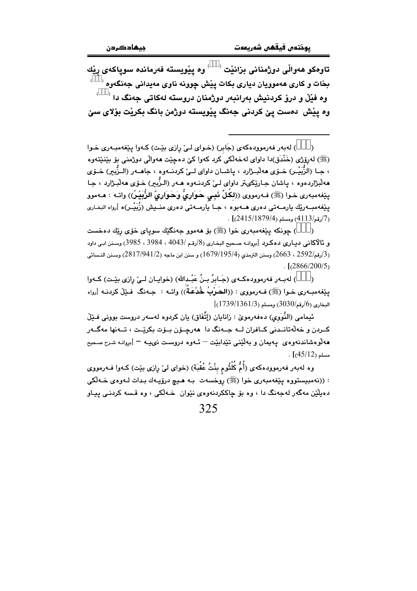تاوهکو هەواڵى دوژمنانى بزانێت <sup>‹ </sup> ′ وه پێويسته فەرماندە سوپاکەى ڕێك بخات و کاری ههموویان دیاری بکات پیّش چوونه ناوی مهیدانی جهنگهوه <sup>(</sup>  $^2$ وه فَيْلٌ و درقِ كردنيش بەرانىەر دوژمنان دروستە لەكاتى چەنگ دا وه ييْش دەست يێ كردني جەنگ ييْويستە دوژمن بانگ بكريْت بۆلاي سێ

) لهبهر فهرمووده کهی (جَابر) (خـوای لـیِّ رازی بیِّـت) کـهوا پیِّغهمبـهری خـوا (ﷺ) لەرۆژى (خَنْدَق)دا داواي لەخەلكى كرد كەوا كىّ دەچێت ھەوالى دوژمنى بۆ بێنێتەوە ، جـا (الزُّبَيْـر) ـفـوّي هەڵبــژارد ، ياشــان داواي لــيّ كردنــەوه ، جاهــەر (الــزّبير) ـفــوّي ههڵبژاردهوه ، پاشان جـارێِکيتر داواي لـيٰ کردنـهوه هـهر (الـزُّبير) خـوّي ههڵبـژارد ، جـا يێغەمبەرى خـوا (ﷺ) فـﻪرمووى ((لكُلِّ نَبِـى حَـوَارِيٌّ وَحَـوَارِيَّ الزُّبَيْـرُ)) واتـه : هـﻪموو پێغهمبــهرێك يارمــهتى دەرى هــهبوه ، جــا يارمــهتى دەرى منــيش (زُبَيْــر)ە [رواه البخـارى  $(2415/1879/4)$  ومسلم (4 $(2415/1879/4)$ .

) چونکه پێغەمبەرى خوا (ﷺ) بۆ ھەمور جەنگێك سوپاي خۆي رێك دەخست  $\lambda$ و ئالاكانى ديارى دەكرد [بروانــه صـحيح البخـارى (8/رقـم /4043 ، 3984 ، 3985) وسـنن ابـي داود (3/رقم/2592 ، 2663) وسنن الترمذي (1679/195/4) و سنن ابن ماجه (2817/941/2) وسـنن النـسائي  $\frac{1}{2}$  [(2866/200/5)

) لهبـهر فهرموودهكـهى (جَـابِرُ بِـنُ عَبْـدالله) (خوايـان لـيِّ رازي بيِّـت) كـهوا  $\lambda$ ييّفهمبـهري خـوا (ﷺ) فـهرمووي : ((الحَـوْبُ خُنْـعَـةٌ)) واتـه : جـهنگ فـيّلْ كردنـه [رواه  $(1739/1361/3)$  البخاري (6/رقم) $(3030/30)$  ومسلم

ئیمامی (النَّوَوی) دەفەرموێ : زانایان (إتِّفَاق) یان کردوە لەسەر دروست بوونی فـێڵ کــردن و خەلەتانــدنى كــافران لـــه جــەنگ دا ھەرچــۆن بــۆت بكريْــت ، تــەنھا مەگــەر هەلوەشاندنەوەي يەيمان و بەلێنى تێدابێت – ئـەوە دروست نىيـە – [بروانـە شـرح صـحيح  $\cdot$   $(45/12)$  مسلم

وه لهبهر فهرموودهکهی (أُمُّ كُلْثُوم بنْتُ عُقْبَةَ) (خوای لیْ رِازی بیْت) کـهوا فـهرمووی : ((نەمبيستووە يێغەمبەرى خوا (ﷺ) روخسەت بـه هـيـچ درۆيـەك بـدات لــەوەي خــەلكى دهيٽين مهگەر لەجەنگ دا ، وه بۆ چاككردنەوەي نێوان خـەلکى ، وه قـسه كردنـى پيـاو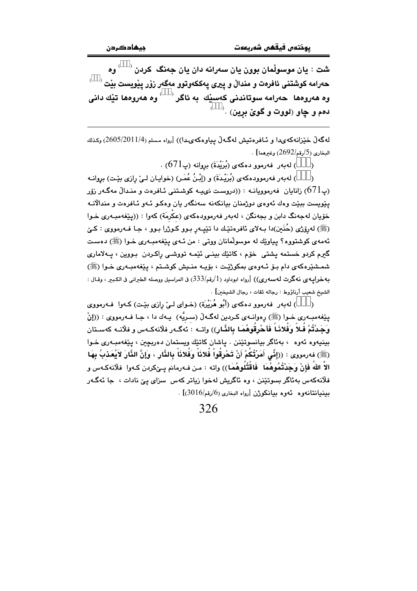شت $\colon$  يان موسولْمان بوون يان سەرانە دان يان جەنگ كردن  $\check{\;\;}$ وه حەرامە كو<mark>شتنى ئافرەت و مندا</mark>ڵ و پيرى پەككەوتوو مەگەر زۆر پێويست بێت <sup>( \_\_ )</sup> وه هەروەها حەرامە سوتاندنى كەسێك بە ئاگر `  $\,$  وه هەروەها تێك دانى دمم و چاو (لووت و گوێ برين) .<sup>(</sup>

لەگەلٌ خَيْرْانەكەيدا و ئـافرەتيش لەگـەلٌ بياوەكەيـدا)) [رواء مـسلم (2605/20114) وكـذلك البخاري (5/رقم/2692) وغيرهما] .

> ) لەيەر قەرموق دەكەي (يُرَبُّدَةَ) بروانە (پە671) .  $\lambda$

) لهبهر فهرموودهكهي (بُرَيْدةَ) و (إِبْنُ عُمَرٍ) (خوايـان لـيِّ رازي بِيِّت) بروانـه  $\lambda$ رپ $671$ ) زانایان فهرموویانـه : ((دروسـت نىيـه كوشـتنى ئـافرەت و منـدالْ مەگـەر زۆر  $\,$ يێويست بېێت وەك ئەوەي دوژمنان بيانكەنە سەنگەر يان وەكىو ئـەو ئـافرەت و مندالانـە خۆيان لەجەنگ دابن و بجەنگن ، لەبەر فەرموودەكەي (عكرمَة) كەوا : ((يێغەمبـەرى خـوا (ﷺ) لهروّري (حُنَين)دا بـ4لاي ئافرهتێك دا تێڀـ4ر بـوو كـوژرا بـوو ، جـا فـ4رمووي : كـيّ ئهمهي کوشتووه؟ پياوێك له موسولْمانان ووتى : من ئـهي پێغهمبـهري خـوا (ﷺ) دهسـت گیرم کردو خستمه یشتی خوّم ، کاتێك بینـی ئێمـه تووشـی راکـردن بـووین ، پــهلاماری شمشٽرهکهي دام بـۆ ئــهوهي بمکوژێـت ، بۆيــه منــيش کوشــتم ، بـێغهمبــهري خــوا (ﷺ) به حرابيه ي نه گرت له سه ري)) [رواه ابوداود (1/رقم/333) في المراسيل ووصله الطبراني في الكبير ، وقـال : الشيخ شعيب أرناؤوط : رجاله ثقات ، رجال الشيخين] .

) لهيهر. فهرموو دهکهي (أَبُو هُرَيْرَةِ) (خـواي لـيّ رازي بيّـت) کـهوا. فـهرمووي  $\lambda$ يێغەمبـﻪرى خـﻮا (ﷺ) رەوانـﻪي كـﺮﺑﻴﻦ ﻟﻪگـﻪلْ (ﺳـﺮﻳُﻪ) ﭘـﻪك ﺩا ، ﺟـﺎ ﻓـﻪرﻣﻮﻭى : ((ﺇﻥْ وَجَدْتُمْ فُلاً وَفُلانَـاً فَأحْرِقُوهُمَـا بِالنَّـارِ)) واتــه : ئەگــەر فلّانـهكــهس و فلّانــه كهسـتان بينيەوه ئەوە ، بەئاگر بيانسوتێنن . ياشان كاتێك ويستمان دەربچين ، يێغەمبەرى خـوا (ﷺ) فەرمورى : ((إِنِّي أَمَرْتُكُمْ أَنْ تَحْرِقُواْ فُلانَاً وَفُلانَاً بِالنَّارِ ، وَإِنَّ النَّارَ لاَيُعَذبُ بِهَا الاً اللهُ فَإِنْ وَجَدْتُمُوهُمَا ۖ فَاقْتُلُوهُمَا)) واته : مـن فـهرمانم يـيٚكردن كـهوا ۖ فلانهكـهس و فلانهکهس بهئاگر بسوتٽنن ، وه ئاگريش لهخوا زياتر کهس ٍ سزاي بيّ نادات ، جا ئهگهر  $\cdot$ بِينِيانتانهوه بِّهوه بِيانِكُوِرْنِ [رواه البِخارِي (6/رقم/3016)]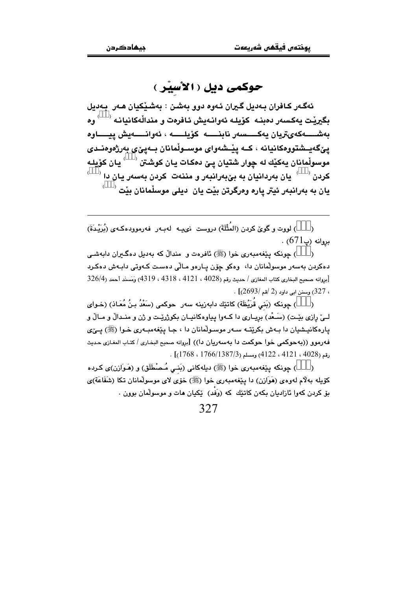## حوکمی دیل ( الأسیْر )

ئەگـەر كـافران بـەديل گـيران ئـەوە دوو بەشـن : بەشـێكيان ھـەر بـەديل بگيرٽت بەكسەر دەبنيە كۆيليە ئەوانبەيش ئافرەت و مندالْەكانيانيه ` دوم بەشــــەكەيتريان يەكــــسەر نابنـــــە كۆيلـــــە ، ئەوانـــــەيش ييـــــاوە يێڲەيىشتووەكانيانە ، كــه يێىشەواي موســوڵمانان بــەيێى بەرژەوەنــدى موسوڵِمانان بەكێك لە چوار شتيان يـێ دەكات يـان كوشتن <sup>( \_ )</sup> يـان كۆپلـە کردن <sup>( )</sup> یان بهردانیان به بیّ(بهرانیهر و مننهت کردن بهسهر یان دا <sup>( )</sup>  $\langle \rangle$  دان به بهراندهر ئیتر یاره وهرگرتن بێت بان ادیلی موسلّمانان بێت

) لووت و گوێ کردن (المُثْلَةَ) دروست نىپ لەب ر فەرموودەکـەي (بُرَيْـدَةَ)  $\lambda$  $. \, (671$ بروانه (پ

) چونکه پێغهمبهري خوا (ﷺ) ئافرەت و مندالٌ که بهديل دەگیران دابەشى دەكردن بەسەر موسولْمانان دا، وەكو چۆن يـارەو مـالّى دەسـت كـەوتى دابـەش دەكـرد [بروانه صحيح البخاري كتاب المغازي / حديث رقم (4028 ، 4121 ، 4318 ، 4319) وَمَسنَد أحمد (326/4 ، 327) وسنن ابي داود (2 /قم /2693)] .

) جونكه (بَني قَرَيْظَة) كاتبيّك دابهزينه سهر حوكمي (سَعْدُ بـنُ مُعَـاذ) (خـواي  $\lambda$ لــِيّ رازي بِيّـت) (سَـعْد) بريـاري دا كــهوا پياوهكانيـان بكوژريّـت و ژن و منـدالٌ و مـالٌ و يارهکانيشيان دا بـهش بکرێتـه سـهر موسـولّمانان دا ، جـا يێغهمبـهري خـوا (ﷺ) يـێي فهرموو ((بهجوكمي خوا جوكمت دا بهسهريان دا)) [بروانه صحبح البخاري / كتاب المغازي حديث  $(1768, 1766/1387/3)$ رقم (4028 ، 4121) (4122 ، 4128).

) جونکه پێغهمبەری خوا (ﷺ) دیلهکانی (بَنبی مُـصْطَلَق) و (هَـوَازن)ی کـرده  $\lambda$ كۆپلە پەلام لەوەي (ھَوَازِن) دا پِيْغەمبەرى خوا (ﷺ) خۆي لاي موسولْمانان تكا (شَفَاعَة)ي يق کردن کهوا ئازاديان بکهن کاتٽِك که (وَفَد) ٽِکيان هات و موسولمان يوون .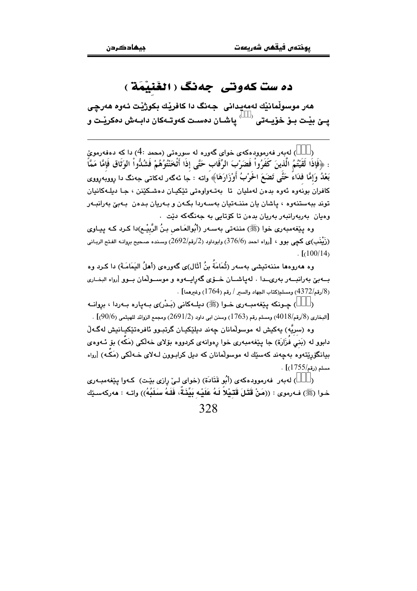## ده ست کهوتی جهنگ ( الغَنیْمَة )

هەر موسوڵمانێك لەمەيدانى جەنگ دا كافرێك بكوژێت ئەوە ھەرچى يــێ بيّـت بــوّ خوّيــهتى ` ` ياشــان دەسـت كەوتــەكان دابــەش دەكريّـت و

) لەبەر فەرموودەكەى خواى گەورە لە سورەتى (محمد :4) دا كە دەفەرموێ : ﴿فَإِذَا لَقَيْتُمُ الَّذِينَ كَفَرُواْ فَضَرْبَ الرِّقَابِ حَتَّى إِذَا أَثْخَنْتُوُهُمْ فَشُدُّواْ الوَثَاق فَإِمَّا مَمَّأً بَعْدُ وَإِمَّا فِدَاءً حَتَّى تَضَعَ الْحَرْبُ أَوْزَارَهَا﴾ واته : جا ئهگهر لهکاتی جهنگ دا رووبُهرووی کافران بونهوه ئەوە بدەن لەمليان تا بەتـەواوەتى تێکیـان دەشـکێنن ، جـا دىلـەکانيان توند ببهستنهوه ، پاشان پان مننـهتیان بهسـهردا بکـهن و بـهریان بـدهن ِ بـهیج بهرانبـهر وەيان بەربەرانبەر بەريان بدەن تا كۆتايى بە جەنگەكە دێت .

وه پێغهمبهری خوا (ﷺ) مننهتی بهسـهر (أَبُوالعَـاص بـنُ الرَّبيْـم)دا کـرد کـه پيـاوی (زَيْنَبِ)ي كچي بوو ، [رواه احمد (376/6) وابوداود (2/رقم/2692) وسنده صـحيح بروانــه الفـتح الربـاني)  $\frac{1}{100/14}$ 

وه ههروهها مننهتيشي بهسهر (ثُمَامَةُ بنُ أثَال)ي گهورهي (أهلُ اليَمَامَـةُ) دا كـرد وه ب+بيّ بهرانب+ر بهريكدا . لهياشــان خــوّي گهرايــهوه و موســولّمان بــوو [رواه البخــاري (8/رقم/4372) ومسلم(كتاب الجهاد والسير / رقم (1764) وغيرهما] .

) جـونکه بێغهمبـهري خـوا (ﷺ) دبلـهکاني (بَـدْر)ي بـهياره بـهردا ، بروانـه  $\lambda$ .<br>[البخاري (8/رقم/4018) ومسلم رقم (1763) وسنن ابي داود (2/91/2) ومجمع الزوائد للهيثمي (90/6)] .

وه (سريَّه) بِهکيش له موسولْمانان جِهند ديلێکيـان گرتبـوو ئافرهتێکيـانيش لهگـهڵ دابوو له (بَني فَزَارَة) جا پێغهمبهري خوا رهوانهي کردووه بۆلاي خهڵکي (مَکَه) بۆ ئـهوهي بيانگۆريتەوه بەچەند كەسێك لە موسولْمانان كە دىل كرابىوون لـﻪلاي خـﻪلْكى (مَكَـﻪ) [رواه  $\cdot$  [(1755/مسلم (رقم)

) لهبهر فهرموودهكهي (أَبُو قَتَادَة) (خواي ليّ رازي بيّت) كـهوا ينفهمبـهري خـوا (ﷺ) فـهرموى : ((مَنْ قَتَبْلَ قَتَـيْلاً لَـهُ عَلَيْـه بَيِّذَةٌ، فَلَـهُ سَلَبُهُ)) واتـه : ههركهسـێك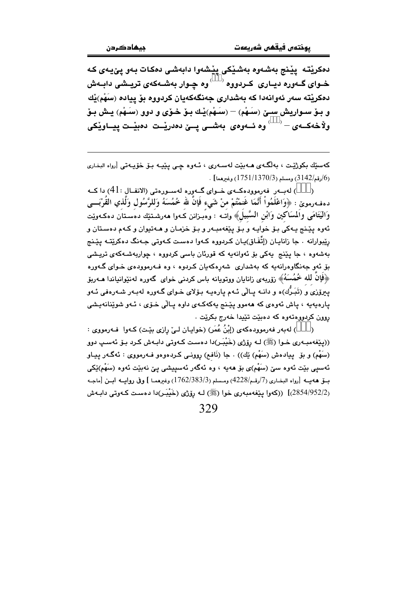دەكريتە يينج بەشەوە بەشيكى ييشەوا دابەشى دەكات بەو يىيەي كە خـوای گــهوره دیــاری کــردووه <sup>( )</sup> وه چـوار بهشــهکهی تریــشی دابــهش دهکريٽه سەر ئەوانەدا کە بەشدارى جەنگەکەبان کردووه بۆ ييادە (سَهْم)ٽك و بِيوْ سيوارِيش سيِّ (سَيهُم) — (سَيهُم)يْك بِيوْ جُبوْي و دوق (سَيهُم) يېش بِيْ ولاْخەكــەى – ` ) وە ئــەوەى بەشــى پــێ دەدرێـت دەبێـت پيــاوێكى

کهسٽِك بکوڑيٽ ، بهلُگـهي هــهبيّت لهسـهري ، ئـهوه جـي پيّيــه بــق خوّيــهتي [رواه البخـاري . (1/رقم/3142) ومسلم (1751/1370) وغيرهما] $(1751/1370)$ 

) لهبـهر فهرموودهكـهى خـواى گـهوره لهسـورهتى (الانفـال :41) داكـه دهف رمويٌ : ﴿وَاعْلَمُواْ أَنَّمَا غَنِمْتُمْ مِنْ شَيْءٍ فَإِنَّ لله خُمُسَهُ وَلِلرَّسُولِ وَلِّذِي القُرْبَــي وَاليَتَامَى وَالْمُسَاكِين وَابْنِ السَّبِيلَ﴾ واتــه : وهُبـزانن كــهوا ههرشـتێك دهسـتان دهكـهوێت .<br>ئەوە پێنج يـﻪكى بـۆ خوايـﻪ و بـۆ پێغەمبـﻪر و بـۆ خزمـان و *ھ*ـﻪتيوان و كـﻪم دەسـتان و رێبوارانه . جا زاناڀـان (إتِّفَـاق)ڀـان کـردووه کـهوا دهسـت کـهوتي جـهنگ دهکرێتـه پێـنج بەشەوە ، جا يێنج يەكى بۆ ئەوانەيە كە قورئان باسى كردووە ، چواريەشـەكەي تريىشى ېۆ ئەو جەنگاوەرانەيە كە بەشدارى شەرەكەيان كىردوە ، وە فـەرموودەى خـواى گـەورە ﴿فَإِنَّ لَمَّهُ خُمُسَهُ﴾ زَوْرِبِهِي زَانايان ووتوپانه باس كردني خواي گەورە لەنێوانىياندا ھـﻪربۆ یبرِوْزیَ و (تَبَـرُّك)ه و دانـه پـالّی ئـهم پارهیـه بـوّلای خـوای گـهوره لهبـهر شـهرهفی ئـهو پارهېهپه ، پاش ئەوەي كە ھەمور پٽتج پەكەكبەي داوە پالى خىرى ، ئىەو شويتانەيشى روون کردووهتهوه که دهيئت تٽيدا خهرج بکريٽ .

) لهبهر فهرموودهکهی (إِبْنُ عُمَرٍ) (خوایـان لـیٌ رِازی بیّـت) کـهوا فـهرمووی :  $\lambda$ ((پێغەمبەرى خـوا (ﷺ) لـه رۆژى (خَيْبَـر)دا دەست كـەوتى دابـەش كـرد بـۆ ئەسـپ دوو (سَهُم) و بۆ پيادەش (سَهْم) ێك)) . جا (نَافم) روونـي كـردەوەو فــهرمووى : ئەگــهر پيـاو ئەسپى بێت ئەوە سێ (سَهْم)ى بۆ ھەيە ، وە ئەگەر ئەسپيشى يێ نەبێت ئەوە (سَهْم)ێكى بيق هـه بــه [رواه البخــاري (7/رقــم/4228) ومــسلم (3/383/3/1762) وغـرهمــا ] وفي روابـــه ابــن [ماجــه (2854/952/2)] ((كەوا يێغەمبەرى خوا (ﷺ) لـه رۆژى (خَيْبَـر)دا دەسـت كـەوتى دابـەش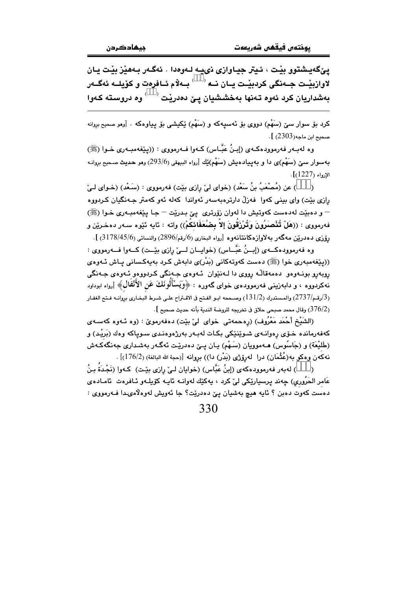ييٰ گهيشتوو بيْت ، ئيتر جياوازي نييه لـهوهدا . ئهگـهر بـههيْز بيْت يـان .<br>لاوازبيّـت جــهنگى كردبيّـت يــان نــه <sup>( \_\_)</sup> بــهلاّم ئــافرەت و كۆيلــه ئەگــەر بهشداریان کرد ئەوە تەنھا بەخششیان یـێ دەدرێت $\langle \rangle$ وه دروستە کـەوا

کرد بۆ سوار سێ (سَهْم) دووی بۆ ئەسىيەکە و (سَهْم) ێِکیشی بۆ يـیاوەکە . [رمو صحیح بروانه صحيح ابن ماجه(2303)].

وه لهبـهر فهرموودهكـهي (إبـنُ عَبَّـاس) كـهوا فــهرمووي : ((يێغهمبـهري خـوا (ﷺ) بهسوار سيِّ (سَهْم)ي دا و بهييادهيش (سَهْم)ێك [رواه البيهقي (293/6) وهو حديث صحيح بروانـه  $\Gamma(1227)$  الإرواء

) عن (مُصنْعَبُ بنُ سَعْد) (خواي ليْ رِازِي بيْت) فهرمووي : (سَـعْد) (خـواي لـيْ  $\lambda$ رازی بێت) وای بینی کهوا فهزلٌ دارترهبهسهر ئهواندا کهله ئهو کهمتر جـهنگیان کـردووه – و دهبێت لهدهست کهوتيش دا لهوان زۆرتري يێ بدرێت – جـا يێغهمبـهري خـوا (ﷺ) فهرمووى : ((هَلْ تُنْصَبَرُونَ وَتُرْزَقُونَ إلاَّ بِضُعَفَائِكُمْ)) واته : ئايه ئێوه سـهر دهخـرێن و رۆزى دەدرينن مەگەر بەلاوازەكانتانەوە [رواە البخارى (6/رقم/2896) والنسائى (3178/45/6) ].

وه فه رمووده کــهى (إسنُ عَبَّــاس) (خوايــان لـــىٰ رازى بێــت) کــهوا فــه رمووى : ((پێغەمبەرى خوا (ﷺ) دەست كەوتەكانى (بَدْر)ى دابەش كرد بەپەكسانى پاش ئـەوەي رويەرو بونـەوەو دەمەقاڭـە رووي دا لــەنێوان ئــەوەي جـەنگى كـردووەو ئــەوەي جـەنگى نهکردووه ، و دابهزینی فهرموودهى خواى گەورە : ﴿وَيَسْأَلُونَكَ عَنِ الأَنْفَالِ﴾ [رواه ابوداود (3/رقم/2737) والمستدرك (131/2) وصححه ابـو الفـتح فى الاقـتراح علـى شـرط البخـارى بروانــه فـتح الغفـار . وقال محمد صبحى حلاق فى تخريجه للروضة الندية بأنه حديث صحيح ].  $(376/2)$ 

(الشَيْخ أَحْمَد مَعْرُوف) (رِهحمهتي خواي ليْ بيْت) دهفهرمويٌ : (وه ئـهوه كهسـهي کهفهرمانده خـرّي رهوانـهي شـوێنێکي بکـات لهبـهر بهرژهوهنـدي سـويـاکه وهك (بَريْـد) و (طَليْعَة) و (جَاسَوس) هـﻪموويان (سَـهْم) يـان يـێ دەدرێت ئەگـﻪر بەشـدارى جەنگەكـﻪش نهكەن وەكو بە(عُثْمَان) درا لەرۆژى (بَدْر) دا)) بروانە [(حجة الله البالغة) (176/2)] .

) له به ر فه رموود هکه ی (إِبنُ عَبَّاس) (خوایان لـی واِزی بیّـت) کـهوا (نَجْـدَة بـنُ عَامر الحَرُوري) ڇهند پرسپارٽِکي ليٰ کرد ، پهکٽِك لهوانــه ئاپــه کۆپلــهو ئــافرهت ئامــادهي دهست کهوت دهبن ؟ ئايه هيچ بهشيان پێ دهدرێت؟ جا ئهويش لهوهلاّمىدا فــهرمووى :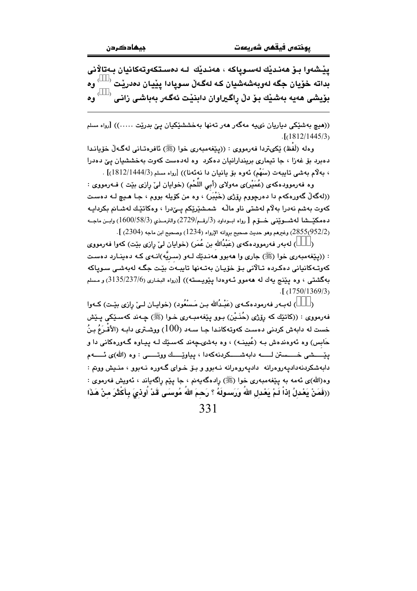يێشەوا بىۆ ھەنىدێك لەسىوياكە ، ھەنىدێك لـە دەسىتكەوتەكانيان بـەتالانى  $^{\circ}$  بداته خۆيان جگه لەوبەشەشيان كـه لەگـەلّ سىوپادا يێيـان دەدرێت ' وه  $^\circ$  بۆيشى ھەيە بەشێك بۆ دڵ راگیراوان دابنێت ئەگەر بەباشى زانى  $\bullet \bullet$ <sup> $($ </sup>

((هیچ بەشێکی دیاریان نىييە مەگەر ھەر تەنھا بەخششێکیان یێ بدرێت .....)) [رواه مسلم  $\cdot$ [(1812/1445/3)

وهله (لَفظ) ێِکيتردا فەرمووى : ((يێغەمبەرى خوا (ﷺ) ئافرەتـانى لەگـەلْ خۆيانـدا دهبرد بوّ غهزا ، جا تیماری بریندارانیان دهکرد وه لهدهست کهوت بهخششیان ییّ دهدرا ، بهلام بهشي تايبهت (سَهْم) ئەوە بۆ يانيان دا نەئەنا)) [رواه مسلم (1444/3/1|18] .

وه فهرموودهکهی (عُمَیْر)ی مهولای (أبی اللُّحْم) (خوایان لیٌ رازی بیّت ) فــهرمووی : ((لهگهڵ گەورەكەم دا دەرجووم رۆژى (خَيْبَر) ، وه من كۆيلە بووم ، جـا هـيـچ لـه دەسـت كەوت بەشم نەدرا بەلام لەشتى ناو ماڵە شمـشێرێكم پـێدرا ، وەكاتێك لەشـانم بكردايـە دهمكێــشا لهشــوێني خــوّم [ رواه ابــوداود (3/رقــم/2729) والترمــذي (1600/58/3) وابــن ماجــه (2855(952/2) وغيرهم وهو حديث صحيح بروانه الإرواء (1234) وصحيح ابن ماجه (2304) ].

) له بـهر فـهرموودهکه ی (عَبْدُالله بن عُمَر) (خوایان لیّ رازی بێت) کهوا فـهرمووی : ((پێفهمبهری خوا (ﷺ) جاری وا ههبوو ههندێك لـهو (سـریَّه)انـهی كـه دهینـارد دهسـت كەوتـﻪكانيانى دەكـردە تـﺎلانى بـۆ خۆيـان بەتـﻪنها تايبـﻪت بێت جگـﻪ لەبەشـى سـوياكە بهگشتی ، وه پێنج یهك له ههموو ئـهوهدا پێویـسته)) [(رواه البخاری (3/135/237/6) و مسلم  $. [$  (1750/1369/3)

) لهبـهر فهرمودهكـهى (عَبْـدُالله بـن مَـسْعُود) (خوايـان لـيّ رِازي بيّـت) كـهوا  $\lambda$ فهرمووي : ((کاتێِك که رۆژی (حُنَـيْن) بـوو پێغهمبـهری خـوا (ﷺ) چـهند کهسـێکی پـێش خست له دابهش کردنی دهست کهوتهکاندا جـا سـهد (100) ووشـتری دابـه (الأقْـرَعُ بـنُ حَابِس) وه ئەوەندەش بـه (عُیینـه) ، وه بەشىپچەند كەسىيّك لـه پیـاوه گـەورەكانى دا و يٽِـــشي خــــستن لــــه دابهشــــکردنهکهدا ، پياوٽِـــك ووتـــــي : وه (الله)ي ئــــهم دابهشکردنهدادیهروهرانه دادیهروهرانه نـهبوو و بـۆ خـوای گـهوره نـهبوو ، منـیش ووتم : وه(الله)ي ئەمە بە يێغەمبەرى خوا (ﷺ) رادەگەپەنم ، جا يێم راگەپاند ، ئەويش فەرموي : ((فَمَنْ يَعْدِلُ إِذاْ لَمْ يَعْدِلِ اللهُ وَرَسـولَهُ ؟ رَحـمَ اللهُ مُوسـَى قَدْ أُوذِيَ بِأَكْثَرَ منْ هَذَا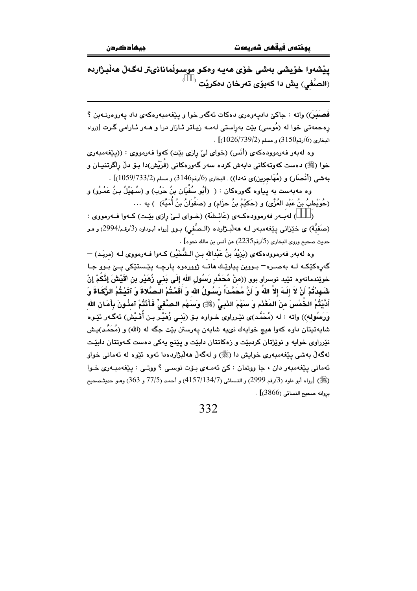پێشەوا خۆيشى بەشى خۆى ھەيە وەكو موسىوڵمانانىتر لەگەڵ ھەڵبژاردە  $^{\rm )}$  الصَّفى) يش دا كەبۆى تەرخان دەكريْت $^{\rm (}$ 

فَصَنِبَرَ)) واته : جاکێ دادپهوهري دهکات ئهگهر خوا و پێغهمبهرهکهي داد پهروهرنـهبن ؟ رهحمهتی خوا له (مُوسی) بێت بهراستی لهمـه زیـاتر ئـازار درا و هـهر ئـارامی گـرت [(رواه  $(1026/739/2)$  البخاري (6/رقم3150).

وه لهبهر فهرموودهکهي (أَنَس) (خواي ليّ رازي بيّت) کهوا فهرمووي : ((پيّغهمبهري خوا (ﷺ) دەست كەوتەكانى دابەش كردە سەر گەورەكانى (قُرَيْش)دا بـۆ دلّ راگرتنيـان و بهشي (أنْصَار) و (مُهَاجِرين)ي نهدا)) . البخاري (6/رقم3146) و مسلم (733/2/1059)] .

وه مهبهست به پیاوه گهورهکان : ( (أَبُو سُفْيَان بنُ حَرْبٍ) و (سُـهَيْلُ بـنُ عَمْـرُو) و (حُوَيْطبُ بنُ عَبْد العُزَّى) و (حَكيْمُ بنُ حزَام) و (صَفْوانُ بنُ أُمَيَّة) ) يه …

) لەببەر فەرموودەكمەي (عَائىشَة) (خىواي لىيْ رازى بِيّت) كىەوا فىەرمووى : (صَفَيَّة) ی خَيْزانی يَيْغهمبەر لـه هەلْبـژاردە (الـصَّفى) بـوو [رواه أبـوداود (3/رقـم/2994) و مـو  $\,$ حديث صحيح وروى البخاري (5/رقم2235) عن أنس بن مالك نحوه $\,$  .

وه لهبهر فهرموودهکهی (يَرْيِدُ بنُ عَبْدالله بـن الـشُّخَيْر) کـهوا فـهرمووی لـه (مربَـد) — گەرەكێ<mark>ك</mark>ە لـﻪ بەصـرە<sup>\_</sup> بـووين پياوێـك <mark>ھاتــە ژور</mark>رەرە پارچـﻪ پێـستێكى پـێ بـور جـا خويٚندمانەوە تێيد نوسراو بوو ((منْ مُحَمَّدٍ رَسُول الله إِلَى بَنى زُهَيْر بن أقَيْشَ إِنَّكُمْ إِنْ شَـهدْتُمْ أَنْ لاَ إِلَـهَ إلاَّ اللهُ وَ أَنَّ مُحَمَّداً رَسُـولُ الله وَ أَقَمْـتُمْ الـصَّلاةَ وَ آتَيْـتُمُ الزَّكَـاةَ وَ أَكَيْتُمُ الخُمْسَ منَ المَغْذَمِ وَ سَهْمَ الذَبِيِّ (ﷺ) وَسَهْمِ الصَّفْيِّ فَأَنْتُمْ آمِنُونَ بِأَمَانِ الله وَرَسُولِه)) واته : له (مُحَمَّد)ى نێرراوى خـواوه بـۆ (بَنـى زُهَيْـر بـن أُقَـيْش) ئهگـهر ئێـوه شایهتیتان داوه کهوا هیچ خوایهك نىيه شایهن پهرستن بێت جگه له (الله) و (مُحَمَّد)یـِش نٽرراوي خوابه و نوٽژتان کرديٽت و زوکاتتان دايٽت و پٽنج بهکي دوست کـهوتتان دايٽت لهگەلٌ پەشى پېڭغەمبەرى خواپش دا (ﷺ) و لەگەلٌ ھەلّىژاردەدا ئەورە ئێورە لە ئەمانى خواق ئهماني پيّغهمبهر دان ، جا ووتمان : کيّ ئهمـهي بـۆت نوسـي ؟ ووتـي : پيّغهمبـهري خـوا (ﷺ) [رواه أبو داود (3/رقم 2999) و النسائي (134/7/134/7) و أحمد (7/57 و 363) وهـو حديثـصحيح  $\sim$ بروانه صحيح النسائي (3866)] .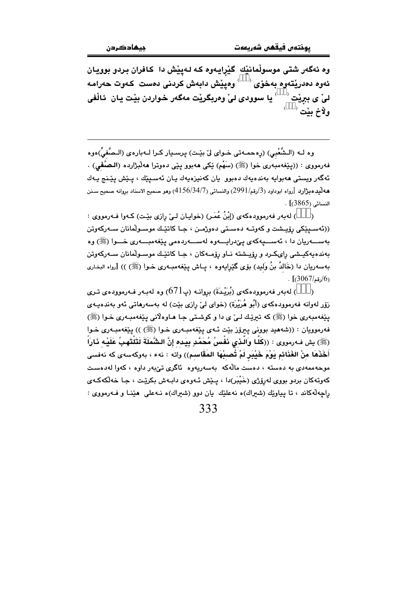وه ئهگەر شتى موسوڵمانێك گێرايـهوه كـه لـهیێش دا كـافران بـردو بوويـان ئەوە دەدريقەوە بەخۆى <sup>( )</sup> وەييىش دابەش كردنى دەست كەوت حەرامە ليٰ ي بيريْت  $\langle\quad \rangle$  يا سوودي ليٰ وەربگريْت مەگەر خواردن بيْت يان ئاڵفي ولأخ بيْت ل

وه لــه (الـشُّعْبِي) (رەحمــهتى خـواي لِيّ بيّـت) پرسـيار كـرا لــهبارەي (الـصَّفىِّ)ەوه فهرمووي : ((يێغهمبهري خوا (ﷺ) (سَهْم) ێکي ههبوو پێي دهوترا ههڵبژارده (الـصَّفى) . ئەگەر ويستى ھەبوايە بەندەيەك دەبوو يان كەنيزەيەك يـان ئەسـيێك ، يـێش يێـنج يـەك هه لّيد ه بِرَّارد [رواه ابوداود (3/رقم/2991) والنسائي (4156/34/7) وهو صحيح الاسناد بروانه صحيح سـنن النسائي (3865)] .

) لهبهر فهرموودهكهي (إِبْنُ عُمَرٍ) (خوايـان لـيٌ رازي بيّـت) كـهوا فـهرمووي :  $\rightarrow$ ((ئەسىيێكى رۆيىشت و كەوتــە دەسـتى دەوژمــن ، جـا كاتێـك موسـوڵمانان ســەركەوتن بەســـەريان دا ، ئەســـيەكەي يېْدرايــــەوە لەســـەردەمى يێغەمبــــەرى خـــوا (ﷺ) وە بەندەپەكپىشى رايكىرد و رۆپىشتە نـاو رۆمـەكان ، جـا كاتێـك موسـولْمانان سـەركەوتن بهسەريان دا (خَالدُ بنُ وَليد) بۆى گێرايەوە ، يـاش يێغەمبـەرى خـوا (ﷺ) )) [رواه البخـارى  $(3067/\epsilon)$ رقم)

) لەبەر فەرموودەكەي (بُرَيْدَةَ) بروانـه (پ $(671$ ) وە لەبـەر فـەرموودەي تـرى  $\lambda$ روِّر لهوانه فهرمووڊه کهي (اُنُو هُرَيْرَة) (خواي ليّ رازي بيّت) له پهسهرهاتي ئهو پهنده پيهي يٽِغەمبەرى خوا (ﷺ) كە تېريك لـىٰ ي دا و كوشـتى جـا ھـاوەلانى يێغەمبـەرى خـوا (ﷺ) فهرموويان : ((شههيد بووني ييرۆز بێت ئـهى يێغهمبـهرى خـوا (ﷺ) )) يێغهمبـهرى خـوا (ﷺ) بِش فەرمورى : ((كَلَّا وَالَّذِي نَفْسُ مُحَمَّدٍ بِيَده إِنَّ الشَّمَلَةَ لَتَلْتَهِبُ عَلَيْه ذَارَاً أَخَذَهَا منْ الغَنَائم يَوْمَ خَيْبَرٍ لَمْ تُصِبْهَا المَقَاسِمِ)) واته : نهء ، بهوكهسهى كه نهفسى موحه ممه دی به دهسته ، دهست مالّهکه بهسهریهوه ئاگری تیّبهر داوه ، کهوا له دهست کەوتەکان بردو بووى لەرۆژى (خَيْبَر)دا ، يـێش ئـەوەي دابـەش بکرێت ، جـا خەلكەكـەي راچهڵهکاند ، تا پیاوێك (شیراك)ه نهعلێك پان دوو (شیراك)ه نـهعلی ٍ هێنـا و فـهرمووی :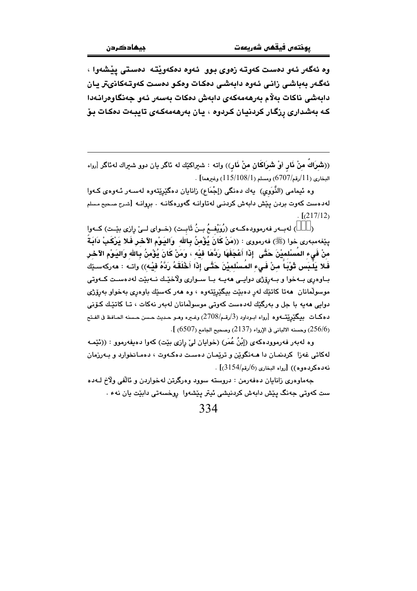وه ئەگەر ئەو دەست كەوتـە زەوي بـوو ئـەوە دەكەوپتـە دەستى يێشەوا ، ئەگەر بەباشى زانى ئەوە دابەشى دەكات وەكو دەست كەوتەكانىتر يان دابەشى ناكات بەلام بەرھەمەكەي دابەش دەكات بەسەر ئەو جەنگاوەرانـەدا كـه بەشدارى رزگـار كردنيـان كـردوه ، يـان بەرھەمەكـەي تايبـەت دەكـات بـۆ

((شَرَاكَ منْ ذَارٍ أَوْ شَرَاكَانِ منْ ذَارٍ)) واته : شيراكيْك له ئاگر يان دوو شيراك له ئاگر [رواه . البخاري (11/رقم/6707) ومسلم (1/108/15) وغيرهما]

وه ئیمامی (النَّوَوی) یهك دهنگی (إجْمَاع) زانایان دهگێرِێتهوه لهسـهر ئـهوهی كـهوا لەدەست كەوت بردن يێش دابەش كردنـى لەتاوانـە گەورەكانـە . بروانـە [شـرح صـحيح مـسلم  $\lceil (217/12) \rceil$ 

) لهبـهر فهرموودهكـهى (رُوَيْفـمُ بـنُ ثَابـت) (خـواى لــىٰ رِازى بيْـت) كـهوا  $\lambda$ يثِغەمبەرى خوا (ﷺ) فەرمووى : ((مَنْ كَانَ يُؤْمِنُ بِـالله ۖ وَاليَـوْمِ الآخـر فَـلا يَرْكَـبْ دَابَـةً منْ فَيء المُسْلميْنَ حَتَّى ۖ إِذَا أَعْجَفَهَا رَدَّهَا فَيْه ، وَمَنْ كَانَ يُؤْمِنُ بِالله وَاليَوْم الآخر فَلا يَلْبَس ثَوْبَاً منْ فَىء المُسْلميْنَ حَتَّى إِذَا أَخْلَقَهُ رَدَّهُ فيْه)) واتـه : هەركەسـێك بـاوهږي بـهخوا و بـهږێژي دوايـي ههيـه بـا سـواري ولاخێـك نـهبێت لهدهسـت كـهوتي موسولْمانان هەتا كاتێك لەر دەبێت بیگێرێتەوە ، وە ھەر كەسێك باوەرى بەخواو بەرۆژى دوایی هەبە یا چل و پەرگێك لەدەست كەوتى موسولْمانان لەپەر نەكات › تـا كاتێـك كـۆنى دهكـات مىگێرێتــهوه [رواه ابـوداود (3/رقـم/2708) وغـيره وهـو حـديث حـسن حـسنه الحـافظ فى الفـتح (256/6) وحسنه الالباني في الإرواء (2137) وصحيح الجامع (6507) ].

وه لهبهر فهرموودهکهي (اِبْنُ عُمَرٍ) (خوابان ليّ رازي بيّت) کهوا دهيفهرموو : ((ئێمـه لهکاتی غهزا کردنمـان دا هـهنگویْن و تریْمـان دهسـت دهکـهوت ، دهمـانخوارد و بـهرزمان  $(3154/\epsilon)$ نه دهکردهوه)) [رواه البخاری (6/رقم/3154)]

جهماوهري زانابان دهفهرمن : دروسته سوود وهرگرتن لهخواردن و ئالفي ولآخ لـهده ست کەوتى جەنگ يێش دابەش کردنيشى ئيتر پێشەوا روخسەتى دابێت يان نەء .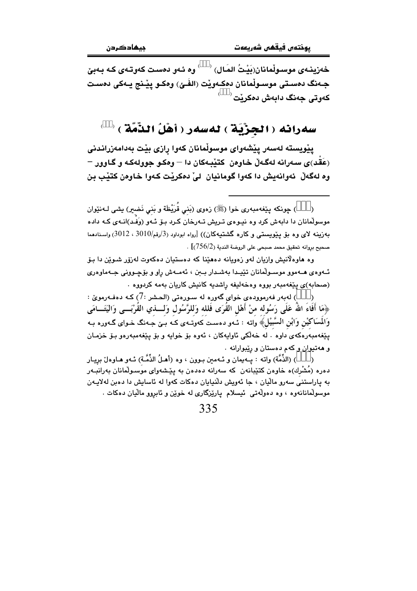خەزىنـەي موسىولْمانان(بَيْتُ المَال) ` \_ ' وه ئـەو دەست كەوتـەي كـە بـەبىّ جـهنگ دەسـتى موسـولْمانان دەكـەويْت (الفَـئ) وەكـو ييْـنج يـەكى دەسـت کەوتى جەنگ دابەش دەكر<u>ن</u>ت <sup>(</sup>

سەرانە (الجِزْيَة) لەسەر (أَهْلُ الذَّمَّة )

يێويسته لەسەر يێشەواي موسوڵمانان كەوا رازى بێت بەدامەزراندنى (عَقَد)ي سهرانه لهگهلٌ خاوهن ِ کتيْدهکان دا – وهکو جوولهکه و گاوور – وه لهگەڵ ئەوانەيش دا كەوا گومانيان لىٰ دەكريْت كەوا خاوەن كتيْب بن

وه هاوهلانیش وازیان لهو زهویانه دههێنا که دهستیان دهکهوت لهزۆر شـوێن دا بـۆ ئــهوهى هــهموو موســولّمانان تێڀــدا بهشـدار بــبن ، ئهمــهش ڕاو و بۆچــوونى جــهماوهرى (صحابه)ی پیّغهمبهر بووه وهخهلیفه راشدیه کانیش کاریان بهمه کردووه

) لەبەر فەرموۋدەي خواي گەورە لە سىورەتى (الحشر :7) كـە دەفـەرمويّ : ﴿مَا أَفَاءَ اللَّهُ عَلَى رَسُولُه منْ أَهْلِ القَرَى فَلله وَللرَّسُولِ وَلــــذي القَرْبَــــى وَاليَتَـــامَى وَالمُسَاكَيْنِ وَابْنِ السُّبَيْلَ﴾ واته : ئـهو دهست كهوتـهي كـه بـيّ جـهنگ خـواي گـهوره بـه پێغەمبەرەكەي داوە . لە خەلكى ئاواپەكان ، ئەوە بۆ خواپە و بۆ پێغەمبەرەو بۆ خزمـان و ههتيوان و كهم دهستان و رييوارانه .

) (الذَّمَّة) واته : بِـهيمان و ئـهمين بـوون ، وه (أهـلُ الذِّمَّـة) ئـهو هـاوهلٌ بريـار دەرە (مَشْرك)ە خاوەن كتێبانەن كە سەرانە دەدەن بە يێشەواي موسىولْمانان بەرانبـەر به پاراستنی سەرو مالّیان ، جا ئەوپش دلّنیایان دەكات كەوا لە ئاسايش دا دەبن لەلاپـەن موسولْمانانهوه ، وه دەولْهتى ئىسلام پارێزگارى له خوێن و ئابږوو مالْيان دەكات .

<sup>)</sup> چونكه پێغهمبهرى خوا (ﷺ) زەوى (بَني قُرَيْظَة و بَني نَضير) يشى لـهنێوان موسولْمانان دا دابهش کرد وه نیبوهی تـریش تـهرخان کـرد بـۆ ئـهو (وَفَـد)انـهى کـه داده بەزىينە لاى وە بۆ پێويسىتى وكارە گشتيەكان)) [رواە ابوداود (3/رقم/3010 ، 3012) واسنادەما صحيح بروانه تحقيق محمد صبحي على الروضة الندية (756/2)] .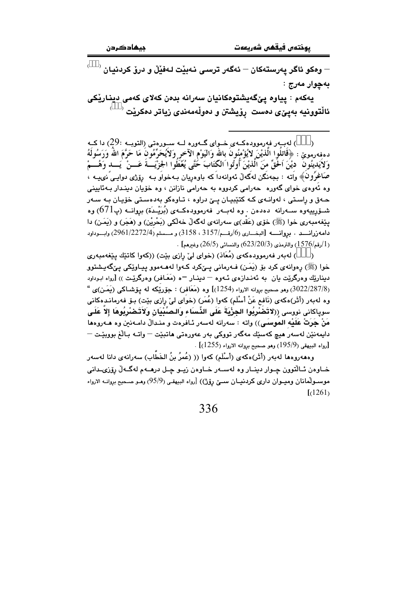$\rightarrow$  ومکو ئاگر پەرستەکان $\rightarrow$  ئەگەر ترسى نەبێت لـەفێڵ و درۆ کردنيان  $\rightarrow$ بهچوار مەرج :

يەكەم : پياوە پێگەيشتوەكانيان سەرانە بدەن كەلاي كەمى دينارێكى ئالْتوونيه بەيئ $_{\mathbf{3}}$ ى دەست  $_{\mathbf{3}}$ ىشتن و دەولّەمەندى زياتر دەكريْت

لەب ر فەرموودەكــەي خــواي گــەورە لــە ســورەتى (التوبــە :29) دا كــە ( دهفەرموێ : ﴿قَاتِلُوا الَّذِيْنَ لاَيُؤْمِنُونَ بِالله وَالْيَوْمِ الْآخِرِ وَلاَيُحَرِّمُونَ مَا حَرَّمَ الله وَرَسُولَهُ وَلاَيَدينُونَ ۚ دِيْنَ اَخَقِّ منَ الَّذيْنَ أُوتُوا الكَّتَابَ خُتَّى يُعْطَوا الجزْيَـــةَ عَـــنْ ۚ يَـــد وَهُـــمْ صَاغرُون﴾ واته : بجەنگن لەگەلْ ئەوانەداكە باوەريان بـەخواو بـە رۆژى دواپـى ّنىيــە ، وه ئەوەي خواي گەورە - جەرامى كردووە بە جەرامى نازانن ، وە خۆپان دېنىدار بىەئابىنى حـهق و راسـتی ، لهوانـهی کـه کتێبیـان یـێ دراوه ، تـاوهکو بهدهسـتی خۆیـان بـه سـهر شــۆرپیيەوە ســەرانە دەدەن . وە لەبــەر فەرموودەكــەى (بُرَيْــدَة) بروانــە (پ671) وە یێِغهمبهری خوا (ﷺ) خۆی (عَقد)ی سهرانهی لهگهڵ خهڵکی (بَحْرِیْن) و (هَجَر) و (بِمَـن) دا  $\epsilon$ دامەزرانسىد . بروانسە [البغــارى (6/رقــم/3157 ، 3158) و مـــسلم (2961/2272/4) وابـــوداود .  $(1576)$ رقم/1576) والترمذي (2 $(23/20/3)$ وغيرهم] .

) لهبهر فهرموودهکهي (مُعَاذ) (خواي ليّ رازي بيّت) ((کهوا کاتێك پێغهمبهري  $\lambda$ خوا (ﷺ) رەوانەي كرد بۆ (يَمَن) فـﻪرمانى يـێكرد كـﻪوا لەھـﻪموو ييـﺎوێكى يـێگەيـشتوو دیناریِّك وەرگریِّت یان به ئەنـدازەی ئــهوه — دینــار —ه (مَعَـافر) وەرگریّـت )) [رواه ابـوداود (3022/287/8) وهو صحيح بروانه الارواء (1254)] وه (مَعَافِر) : جِوْرِيْكِه له يوْشْـاكـي (يَمَـن)ى " وه له بهر (أَثَر) هكهى (نَافع عَنْ أسْلَم) كهوا (عُمَر) (خواى لىٰ رِازى بيْت) بــوْ فهرمانـدهكانى سوياكاني نووسي ((لاتَضَرْبُوا الجِزْيَةَ عَلَى الذِّساء والصِّبْيَانِ ولاَتَـضْرِبُوهَا إلاَّ عَلَـى مَنْ جَرَتْ عَلَيْه الموسَى)) واته : سەرانه لەسەر ئـافرەت و منـدالٌ دامـەنین وه هـەروەها دايمەنێن لەسەر ھىچ كەسێك مەگەر تووكى بەر عەورەتى ھاتبێت — واتـﻪ بـﺎڵغ بووبێـت — . [رواه البيهقي (195/9) وهو صحيح بروانه الارواء (1255)]

وههەرومها لەبەر (أَثَر)مكەي (أَسْلَم) كەوا (( (عُمرُ بنُ الخَطَّاب) سەرانەي دانا لەسەر خــاوەن ئــاڵتوون چــوار دينــار وه لهســهر خــاوەن زيــو چـل درهــهم لهگــهڵ رۆزىــدانى موسـولْمانان وميـوان داري كردنيـان سـێ رۆژ)) [رواه البيهقـي (95/9) ومـو صـحيح بروانــه الارواء  $(1261)$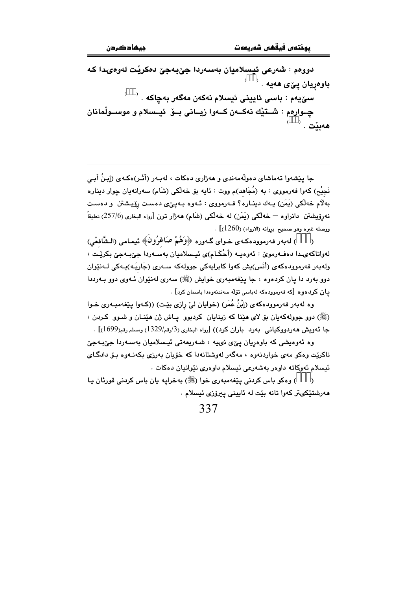دووهم : شەرعى ئيسلاميان بەسەردا جێبەجێ دەكرێت لەوەيدا كە باوەريان يێي ھەيە .  $^{-}$ سۆيەم : باسى ئايينى ئيسلام نەكەن مەگەر بەچاكە چــوارەم : شــتێك نەكـــەن كــەوا زيــانى بــۆ ئيــسلام و موســولْمانان هەبێت . `

جا پێشەوا تەماشاي دەولّەمەندى و ھەژارى دەكات ، لەبـەر (أَثَـر)ەكـەي (إِبنُ أَبـي نَجِيْح) کەوا فەرمووى : بە (مُجَاهد)م ووت : ئايە بۆ خەلکى (شَام) سەرانەيان چوار دېنارە بهلاّم خهلکی (یَمَن) یـهك دینــاره؟ فــهرمووی : ئــهوه بــهییی دهسـت رۆیـشتن و دهسـت نهروّيشتن دانراوه — خهڵكي (يَمَن) له خهڵكي (شَام) ههژار ترن [رواه البخاري (257/6) تعليقاً  $\sim [ (1260)$  ووصله غيره وهو صحيح بروانه (الارواء) (1 $260$ )

) لەبەر فەرموودەكـەي خـواي گـەورە ﴿وَهُمْ صَاغِرُونَ﴾ ئىمـامى (الـشَّافعْي)  $\overline{\phantom{a}}$ لەواتاكەيدا دەفەرمويّ : ئەوەپە (أَحْكَـام)ى ئېسلاميان بەسـەردا جىِّبـەجىّ بكريْـت ، ولەبەر فەرموودەكەي (أَنَس)يش كەوا كابرايەكى جوولەكە سـەرى (جَاريَـه)يـەكى لـەنێوان دوو بهرد دا يان كردهوه ، جا يَيْغهمبهري خوايش (ﷺ) سهري لهنێوان ئـهوي دوو بـهرددا يان كردەوە [كە فەرموودەكە لەباسى تۆلە سەندنەوەدا باسمان كرد] .

وہ لهبهر فهرموودهکهی (اِبْنُ عُمَر) (خوابان لیّ رازی بیّت) ((کـهوا بیّغهمبـهری خـوا (ﷺ) دوو جوولهکهيان بِقِ لاي هَيْنا که زينايان کردبوو پاش ژن هَيْنان و شـوو کردن ، جا ئەويش ھەردووكيانى بەرد باران كرد)) [رواه البخارى (3/رقم/1329) ومسلم رقم(1699)] .

وه ئەوەپشى كە باوەريان يېرى نىيە ، شەريعەتى ئېسلاميان بەسەردا جېبەجى ناکریت وهکو مهی خواردنهوه ، مهگهر لهوشتانهدا که خۆیان بهرزی بکهنـهوه بـۆ دادگـای ئيسلام ئەوكاتە داوەر بەشەرعى ئيسلام داوەرى نێوانيان دەكات .

) وهکو باس کردنی پیفهمبهری خوا (ﷺ) بهخرایه یان باس کردنی قورئان یا  $\lambda$ مەرشتێكىتر كەوا تانە بێت لە ئايينى يېرۆزى ئېسلام .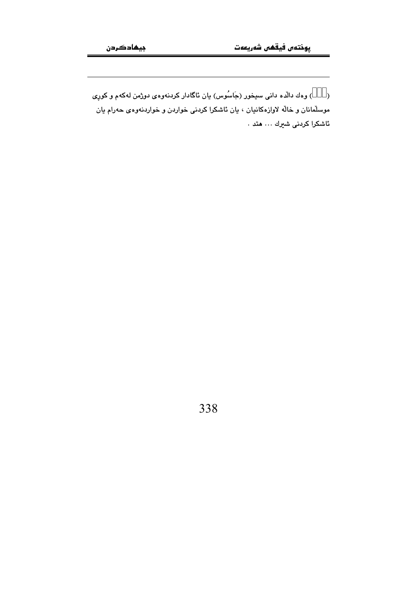) وهك دالَّده داني سيخور (جَاسُوس) يان ئاگادار كردنهوهي دوژمن لهكهم و كورِي  $\lambda$ موسلّمانان و خالّه لاوازهکانیان ، یان ئاشکرا کردنی خواردن و خواردنهوهی حهرام یان ئاشكرا كردنى شىرك … متد .